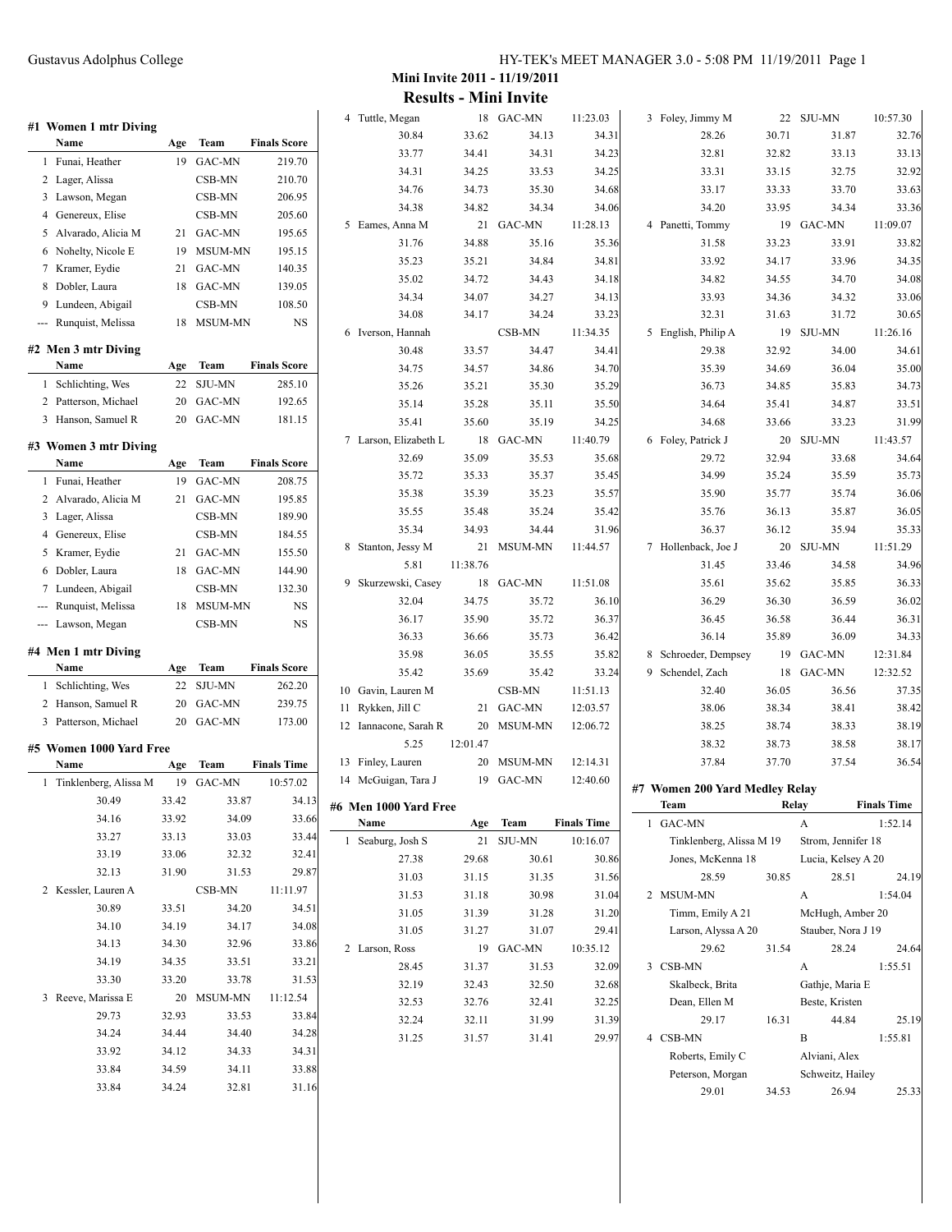32.76 33.13 32.92 33.63 33.36

33.82 34.35 34.08 33.06 30.65

34.61 35.00 34.73 33.51 31.99

34.64 35.73 36.06 36.05 35.33

34.96 36.33  $36.02$ 36.31 34.33

37.35 38.42 38.25 38.74 38.33 38.19 38.17 36.54

24.19

24.64

25.19

25.33

|     | #1 Women 1 mtr Diving                |       |                     |                     | 4 Tuttle, Megan       |          | 18 GAC-MN  | 11:23.03           | 3 Foley, Jimmy M               |       | 22 SJU-MN          | 10:57.30           |
|-----|--------------------------------------|-------|---------------------|---------------------|-----------------------|----------|------------|--------------------|--------------------------------|-------|--------------------|--------------------|
|     | Name                                 | Age   | Team                | <b>Finals Score</b> | 30.84                 | 33.62    | 34.13      | 34.31              | 28.26                          | 30.71 | 31.87              | 32.                |
|     | 1 Funai, Heather                     |       | 19 GAC-MN           | 219.70              | 33.77                 | 34.41    | 34.31      | 34.23              | 32.81                          | 32.82 | 33.13              | 33.                |
|     | 2 Lager, Alissa                      |       | CSB-MN              | 210.70              | 34.31                 | 34.25    | 33.53      | 34.25              | 33.31                          | 33.15 | 32.75              | 32.                |
|     | 3 Lawson, Megan                      |       | CSB-MN              | 206.95              | 34.76                 | 34.73    | 35.30      | 34.68              | 33.17                          | 33.33 | 33.70              | 33.                |
|     | 4 Genereux, Elise                    |       | CSB-MN              | 205.60              | 34.38                 | 34.82    | 34.34      | 34.06              | 34.20                          | 33.95 | 34.34              | 33.                |
|     |                                      |       |                     | 195.65              | 5 Eames, Anna M       |          | 21 GAC-MN  | 11:28.13           | 4 Panetti, Tommy               |       | 19 GAC-MN          | 11:09.07           |
|     | 5 Alvarado, Alicia M                 |       | 21 GAC-MN           |                     | 31.76                 | 34.88    | 35.16      | 35.36              | 31.58                          | 33.23 | 33.91              | 33.                |
|     | 6 Nohelty, Nicole E                  |       | 19 MSUM-MN          | 195.15              | 35.23                 | 35.21    | 34.84      | 34.81              | 33.92                          | 34.17 | 33.96              | 34.                |
|     | 7 Kramer, Eydie                      |       | 21 GAC-MN           | 140.35              | 35.02                 | 34.72    | 34.43      | 34.18              | 34.82                          | 34.55 | 34.70              | 34.                |
|     | 8 Dobler, Laura                      |       | 18 GAC-MN           | 139.05              | 34.34                 | 34.07    | 34.27      | 34.13              | 33.93                          | 34.36 | 34.32              | 33.                |
|     | 9 Lundeen, Abigail                   |       | CSB-MN              | 108.50              | 34.08                 | 34.17    | 34.24      | 33.23              | 32.31                          | 31.63 | 31.72              | 30.                |
|     | --- Runquist, Melissa                |       | 18 MSUM-MN          | <b>NS</b>           | 6 Iverson, Hannah     |          | CSB-MN     | 11:34.35           | 5 English, Philip A            |       | 19 SJU-MN          | 11:26.16           |
|     | #2 Men 3 mtr Diving                  |       |                     |                     | 30.48                 | 33.57    | 34.47      | 34.41              | 29.38                          | 32.92 | 34.00              | 34.                |
|     | Name                                 | Age   | Team                | <b>Finals Score</b> | 34.75                 | 34.57    | 34.86      | 34.70              | 35.39                          | 34.69 | 36.04              | 35.                |
|     | 1 Schlichting, Wes                   |       | 22 SJU-MN           | 285.10              | 35.26                 | 35.21    | 35.30      | 35.29              | 36.73                          | 34.85 | 35.83              | 34.                |
|     | 2 Patterson, Michael                 |       | 20 GAC-MN           | 192.65              | 35.14                 | 35.28    | 35.11      | 35.50              | 34.64                          | 35.41 | 34.87              | 33.                |
|     | 3 Hanson, Samuel R                   |       | 20 GAC-MN           | 181.15              | 35.41                 | 35.60    | 35.19      | 34.25              | 34.68                          | 33.66 | 33.23              | 31.                |
|     |                                      |       |                     |                     | 7 Larson, Elizabeth L |          | 18 GAC-MN  | 11:40.79           | 6 Foley, Patrick J             |       | 20 SJU-MN          | 11:43.57           |
|     | #3 Women 3 mtr Diving<br>Name        | Age   | Team                | <b>Finals Score</b> | 32.69                 | 35.09    | 35.53      | 35.68              | 29.72                          | 32.94 | 33.68              | 34.                |
|     | 1 Funai, Heather                     |       | 19 GAC-MN           | 208.75              | 35.72                 | 35.33    | 35.37      | 35.45              | 34.99                          | 35.24 | 35.59              | 35.                |
|     | 2 Alvarado, Alicia M                 |       | 21 GAC-MN           | 195.85              | 35.38                 | 35.39    | 35.23      | 35.57              | 35.90                          | 35.77 | 35.74              | 36.                |
|     |                                      |       | CSB-MN              | 189.90              | 35.55                 | 35.48    | 35.24      | 35.42              | 35.76                          | 36.13 | 35.87              | 36.                |
|     | 3 Lager, Alissa<br>4 Genereux, Elise |       | CSB-MN              | 184.55              | 35.34                 | 34.93    | 34.44      | 31.96              | 36.37                          | 36.12 | 35.94              | 35.                |
|     | 5 Kramer, Eydie                      |       | 21 GAC-MN           | 155.50              | 8 Stanton, Jessy M    |          | 21 MSUM-MN | 11:44.57           | 7 Hollenback, Joe J            |       | 20 SJU-MN          | 11:51.29           |
|     |                                      |       |                     | 144.90              | 5.81                  | 11:38.76 |            |                    | 31.45                          | 33.46 | 34.58              | 34.                |
|     | 6 Dobler, Laura                      |       | 18 GAC-MN<br>CSB-MN | 132.30              | 9 Skurzewski, Casey   |          | 18 GAC-MN  | 11:51.08           | 35.61                          | 35.62 | 35.85              | 36.                |
|     | 7 Lundeen, Abigail                   |       |                     |                     | 32.04                 | 34.75    | 35.72      | 36.10              | 36.29                          | 36.30 | 36.59              | 36.                |
| --- | Runquist, Melissa                    |       | 18 MSUM-MN          | NS                  | 36.17                 | 35.90    | 35.72      | 36.37              | 36.45                          | 36.58 | 36.44              | 36.                |
|     | --- Lawson, Megan                    |       | CSB-MN              | <b>NS</b>           | 36.33                 | 36.66    | 35.73      | 36.42              | 36.14                          | 35.89 | 36.09              | 34.                |
|     | #4 Men 1 mtr Diving                  |       |                     |                     | 35.98                 | 36.05    | 35.55      | 35.82              | 8 Schroeder, Dempsey           |       | 19 GAC-MN          | 12:31.84           |
|     | Name                                 | Age   | Team                | <b>Finals Score</b> | 35.42                 | 35.69    | 35.42      | 33.24              | 9 Schendel, Zach               |       | 18 GAC-MN          | 12:32.52           |
|     | 1 Schlichting, Wes                   |       | 22 SJU-MN           | 262.20              | 10 Gavin, Lauren M    |          | CSB-MN     | 11:51.13           | 32.40                          | 36.05 | 36.56              | 37.                |
|     | 2 Hanson, Samuel R                   |       | 20 GAC-MN           | 239.75              | 11 Rykken, Jill C     |          | 21 GAC-MN  | 12:03.57           | 38.06                          | 38.34 | 38.41              | 38.                |
|     | 3 Patterson, Michael                 |       | 20 GAC-MN           | 173.00              | 12 Iannacone, Sarah R | 20       | MSUM-MN    | 12:06.72           | 38.25                          | 38.74 | 38.33              | 38.                |
|     |                                      |       |                     |                     | 5.25                  | 12:01.47 |            |                    | 38.32                          | 38.73 | 38.58              | 38.                |
|     | #5 Women 1000 Yard Free<br>Name      | Age   | Team                | <b>Finals Time</b>  | 13 Finley, Lauren     |          | 20 MSUM-MN | 12:14.31           | 37.84                          | 37.70 | 37.54              | 36.                |
|     |                                      |       | 19 GAC-MN           | 10:57.02            | 14 McGuigan, Tara J   |          | 19 GAC-MN  | 12:40.60           |                                |       |                    |                    |
|     | 1 Tinklenberg, Alissa M<br>30.49     | 33.42 | 33.87               | 34.13               |                       |          |            |                    | #7 Women 200 Yard Medley Relay |       |                    |                    |
|     | 34.16                                | 33.92 | 34.09               | 33.66               | #6 Men 1000 Yard Free |          |            |                    | Team                           |       | Relay              | <b>Finals Time</b> |
|     | 33.27                                | 33.13 | 33.03               | 33.44               | Name                  |          | Age Team   | <b>Finals Time</b> | 1 GAC-MN                       |       | $\mathbf{A}$       | 1:52.14            |
|     | 33.19                                | 33.06 | 32.32               |                     | 1 Seaburg, Josh S     |          | 21 SJU-MN  | 10:16.07           | Tinklenberg, Alissa M 19       |       | Strom, Jennifer 18 |                    |
|     |                                      |       |                     | 32.41               | 27.38                 | 29.68    | 30.61      | 30.86              | Jones, McKenna 18              |       | Lucia, Kelsey A 20 |                    |
|     | 32.13                                | 31.90 | 31.53               | 29.87               | 31.03                 | 31.15    | 31.35      | 31.56              | 28.59                          | 30.85 | 28.51              | 24.                |
|     | 2 Kessler, Lauren A                  |       | CSB-MN              | 11:11.97            | 31.53                 | 31.18    | 30.98      | 31.04              | 2 MSUM-MN                      |       | A                  | 1:54.04            |
|     | 30.89                                | 33.51 | 34.20               | 34.51               | 31.05                 | 31.39    | 31.28      | 31.20              | Timm, Emily A 21               |       | McHugh, Amber 20   |                    |
|     | 34.10                                | 34.19 | 34.17               | 34.08               | 31.05                 | 31.27    | 31.07      | 29.41              | Larson, Alyssa A 20            |       | Stauber, Nora J 19 |                    |
|     | 34.13                                | 34.30 | 32.96               | 33.86               | 2 Larson, Ross        |          | 19 GAC-MN  | 10:35.12           | 29.62                          | 31.54 | 28.24              | 24.                |
|     | 34.19                                | 34.35 | 33.51               | 33.21               | 28.45                 | 31.37    | 31.53      | 32.09              | 3 CSB-MN                       |       | A                  | 1:55.51            |
|     | 33.30                                | 33.20 | 33.78               | 31.53               | 32.19                 | 32.43    | 32.50      | 32.68              | Skalbeck, Brita                |       | Gathje, Maria E    |                    |
|     | 3 Reeve, Marissa E                   |       | 20 MSUM-MN          | 11:12.54            | 32.53                 | 32.76    | 32.41      | 32.25              | Dean, Ellen M                  |       | Beste, Kristen     |                    |
|     | 29.73                                | 32.93 | 33.53               | 33.84               | 32.24                 | 32.11    | 31.99      | 31.39              | 29.17                          | 16.31 | 44.84              | 25.                |
|     | 34.24                                | 34.44 | 34.40               | 34.28               | 31.25                 | 31.57    | 31.41      | 29.97              | 4 CSB-MN                       |       | $\mathbf B$        | 1:55.81            |
|     | 33.92                                | 34.12 | 34.33               | 34.31               |                       |          |            |                    | Roberts, Emily C               |       | Alviani, Alex      |                    |
|     | 33.84                                | 34.59 | 34.11               | 33.88               |                       |          |            |                    | Peterson, Morgan               |       | Schweitz, Hailey   |                    |
|     | 33.84                                | 34.24 | 32.81               | 31.16               |                       |          |            |                    | 29.01                          | 34.53 | 26.94              | 25.                |
|     |                                      |       |                     |                     |                       |          |            |                    |                                |       |                    |                    |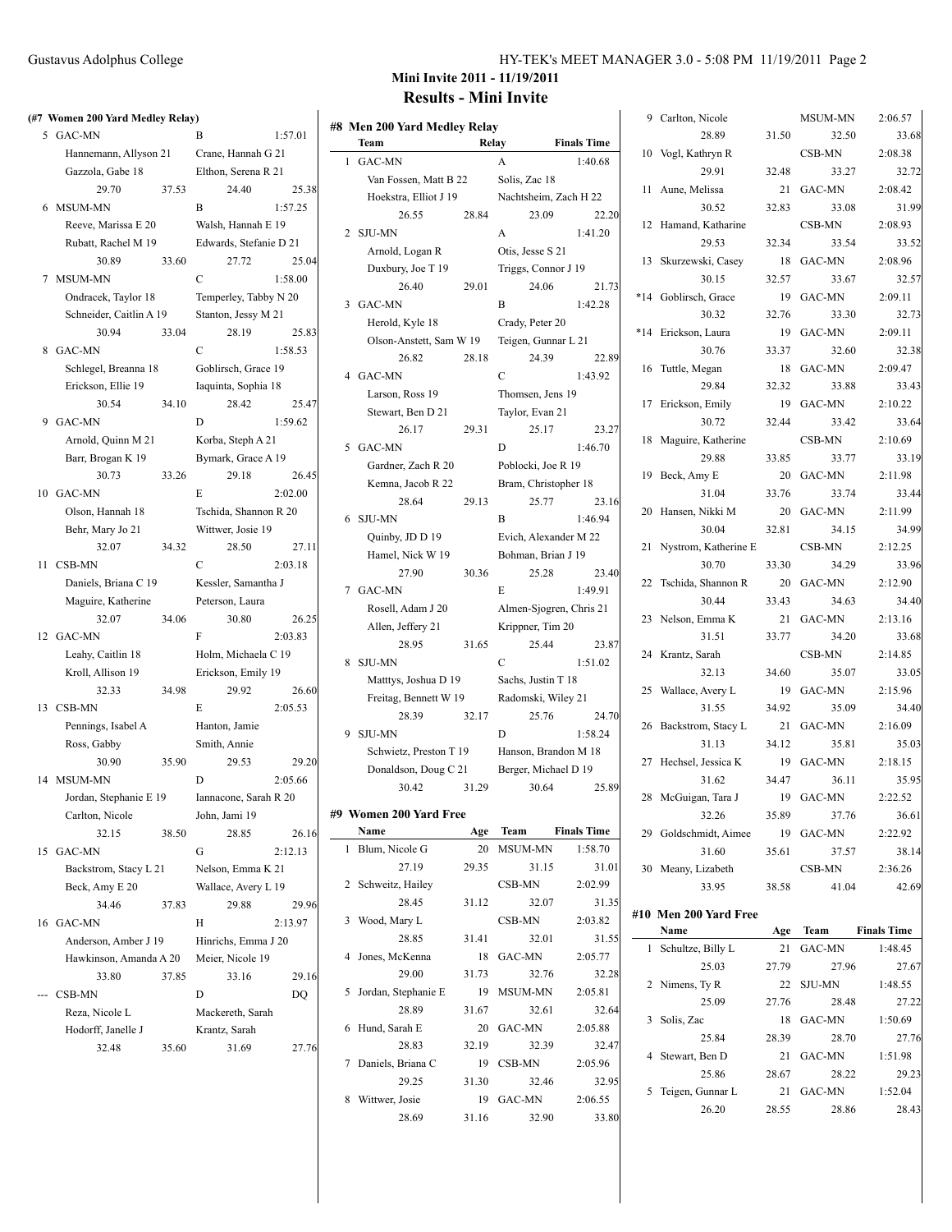|     | (#7 Women 200 Yard Medley Relay) |                     |                        |         |  |
|-----|----------------------------------|---------------------|------------------------|---------|--|
|     | 5 GAC-MN                         |                     | B                      | 1:57.01 |  |
|     | Hannemann, Allyson 21            |                     | Crane, Hannah G 21     |         |  |
|     | Gazzola, Gabe 18                 | Elthon, Serena R 21 |                        |         |  |
|     | 29.70                            | 37.53               | 24.40                  | 25.38   |  |
| 6   | MSUM-MN                          |                     | B                      | 1:57.25 |  |
|     | Reeve, Marissa E 20              |                     | Walsh, Hannah E 19     |         |  |
|     | Rubatt, Rachel M 19              |                     | Edwards, Stefanie D 21 |         |  |
|     | 30.89                            | 33.60               | 27.72                  | 25.04   |  |
| 7   | MSUM-MN                          |                     | $\mathcal{C}$          | 1:58.00 |  |
|     | Ondracek, Taylor 18              |                     | Temperley, Tabby N 20  |         |  |
|     | Schneider, Caitlin A 19          |                     | Stanton, Jessy M 21    |         |  |
|     | 30.94                            | 33.04               | 28.19                  | 25.83   |  |
| 8   | GAC-MN                           |                     | C                      | 1:58.53 |  |
|     | Schlegel, Breanna 18             |                     | Goblirsch, Grace 19    |         |  |
|     | Erickson, Ellie 19               |                     | Iaquinta, Sophia 18    |         |  |
|     | 30.54                            | 34.10               | 28.42                  | 25.47   |  |
| 9   | GAC-MN                           |                     | D                      | 1:59.62 |  |
|     | Arnold, Quinn M 21               |                     | Korba, Steph A 21      |         |  |
|     | Barr, Brogan K 19                |                     | Bymark, Grace A 19     |         |  |
|     | 30.73                            | 33.26               | 29.18                  | 26.45   |  |
|     | 10 GAC-MN                        |                     | E                      | 2:02.00 |  |
|     | Olson, Hannah 18                 |                     | Tschida, Shannon R 20  |         |  |
|     | Behr, Mary Jo 21                 |                     | Wittwer, Josie 19      |         |  |
|     | 32.07                            | 34.32               | 28.50                  | 27.11   |  |
| 11  | CSB-MN                           |                     | C                      | 2:03.18 |  |
|     | Daniels, Briana C 19             |                     | Kessler, Samantha J    |         |  |
|     | Maguire, Katherine               |                     | Peterson, Laura        |         |  |
|     | 32.07                            | 34.06               | 30.80                  | 26.25   |  |
|     | 12 GAC-MN                        |                     | F                      | 2:03.83 |  |
|     | Leahy, Caitlin 18                |                     | Holm, Michaela C 19    |         |  |
|     | Kroll, Allison 19                |                     | Erickson, Emily 19     |         |  |
|     | 32.33                            | 34.98               | 29.92                  | 26.60   |  |
|     | 13 CSB-MN                        |                     | E                      | 2:05.53 |  |
|     | Pennings, Isabel A               |                     | Hanton, Jamie          |         |  |
|     | Ross, Gabby                      |                     | Smith, Annie           |         |  |
|     | 30.90                            | 35.90               | 29.53                  | 29.20   |  |
|     | 14 MSUM-MN                       |                     | D                      | 2:05.66 |  |
|     | Jordan, Stephanie E 19           |                     | Iannacone, Sarah R 20  |         |  |
|     | Carlton, Nicole                  |                     | John, Jami 19          |         |  |
|     | 32.15                            | 38.50               | 28.85                  | 26.16   |  |
| 15  | GAC-MN                           |                     | G                      | 2:12.13 |  |
|     | Backstrom, Stacy L 21            |                     | Nelson, Emma K 21      |         |  |
|     | Beck, Amy E 20                   |                     | Wallace, Avery L 19    |         |  |
|     | 34.46                            | 37.83               | 29.88                  | 29.96   |  |
| 16  | GAC-MN                           |                     | Н                      | 2:13.97 |  |
|     | Anderson, Amber J 19             |                     | Hinrichs, Emma J 20    |         |  |
|     | Hawkinson, Amanda A 20           |                     | Meier, Nicole 19       |         |  |
|     | 33.80                            | 37.85               | 33.16                  | 29.16   |  |
| --- | CSB-MN                           |                     | D                      | DO      |  |
|     | Reza, Nicole L                   |                     | Mackereth, Sarah       |         |  |
|     | Hodorff, Janelle J               |                     | Krantz, Sarah          |         |  |
|     | 32.48                            | 35.60               | 31.69                  | 27.76   |  |
|     |                                  |                     |                        |         |  |

# **Mini Invite 2011 - 11/19/2011 Results - Mini Invite**

|   | #8 Men 200 Yard Medley Relay |       |                                              |                         |  |
|---|------------------------------|-------|----------------------------------------------|-------------------------|--|
|   | Team                         | Relay |                                              | <b>Finals Time</b>      |  |
| 1 | GAC-MN                       |       | A                                            | 1:40.68                 |  |
|   | Van Fossen, Matt B 22        |       | Solis, Zac 18                                |                         |  |
|   | Hoekstra, Elliot J 19        |       |                                              | Nachtsheim, Zach H 22   |  |
|   | 26.55                        | 28.84 | 23.09                                        | 22.20                   |  |
| 2 | <b>SJU-MN</b>                |       | A                                            | 1:41.20                 |  |
|   | Arnold, Logan R              |       | Otis, Jesse S 21                             |                         |  |
|   | Duxbury, Joe T 19            |       | Triggs, Connor J 19                          |                         |  |
|   | 26.40                        | 29.01 | 24.06                                        | 21.73                   |  |
| 3 | GAC-MN                       |       | B                                            | 1:42.28                 |  |
|   |                              |       |                                              |                         |  |
|   | Herold, Kyle 18              |       | Crady, Peter 20                              |                         |  |
|   | Olson-Anstett, Sam W 19      |       | Teigen, Gunnar L 21                          |                         |  |
|   | 26.82                        | 28.18 | 24.39                                        | 22.89                   |  |
| 4 | GAC-MN                       |       | C                                            | 1:43.92                 |  |
|   | Larson, Ross 19              |       | Thomsen, Jens 19                             |                         |  |
|   | Stewart, Ben D 21            |       | Taylor, Evan 21                              |                         |  |
|   | 26.17                        | 29.31 | 25.17                                        | 23.27                   |  |
| 5 | GAC-MN                       |       | D                                            | 1:46.70                 |  |
|   | Gardner, Zach R 20           |       | Poblocki, Joe R 19                           |                         |  |
|   | Kemna, Jacob R 22            |       | Bram, Christopher 18                         |                         |  |
|   | 28.64                        | 29.13 | 25.77                                        | 23.16                   |  |
| 6 | <b>SJU-MN</b>                |       | B                                            | 1:46.94                 |  |
|   | Quinby, JD D 19              |       | Evich, Alexander M 22                        |                         |  |
|   | Hamel, Nick W 19             |       | Bohman, Brian J 19                           |                         |  |
|   | 27.90                        | 30.36 | 25.28                                        | 23.40                   |  |
| 7 | GAC-MN                       |       | E                                            | 1:49.91                 |  |
|   | Rosell, Adam J 20            |       |                                              | Almen-Sjogren, Chris 21 |  |
|   | Allen, Jeffery 21            |       | Krippner, Tim 20                             |                         |  |
|   | 28.95                        | 31.65 | 25.44                                        | 23.87                   |  |
| 8 | <b>SJU-MN</b>                |       | C                                            | 1:51.02                 |  |
|   | Matttys, Joshua D 19         |       | Sachs, Justin T 18                           |                         |  |
|   | Freitag, Bennett W 19        |       | Radomski, Wiley 21                           |                         |  |
|   | 28.39                        | 32.17 | 25.76                                        | 24.70                   |  |
| 9 | <b>SJU-MN</b>                |       | D                                            | 1:58.24                 |  |
|   |                              |       |                                              |                         |  |
|   | Schwietz, Preston T 19       |       | Hanson, Brandon M 18<br>Berger, Michael D 19 |                         |  |
|   | Donaldson, Doug C 21         |       |                                              |                         |  |
|   | 30.42                        | 31.29 | 30.64                                        | 25.89                   |  |
|   | #9  Women 200 Yard Free      |       |                                              |                         |  |
|   | Name                         | Age   | Team                                         | <b>Finals Time</b>      |  |
| 1 | Blum, Nicole G               | 20    | <b>MSUM-MN</b>                               | 1:58.70                 |  |
|   | 27.19                        | 29.35 | 31.15                                        | 31.01                   |  |
| 2 | Schweitz, Hailey             |       | CSB-MN                                       | 2:02.99                 |  |
|   | 28.45                        | 31.12 | 32.07                                        | 31.35                   |  |
| 3 | Wood, Mary L                 |       | CSB-MN                                       | 2:03.82                 |  |
|   | 28.85                        | 31.41 | 32.01                                        | 31.55                   |  |
| 4 | Jones, McKenna               | 18    | GAC-MN                                       | 2:05.77                 |  |
|   | 29.00                        | 31.73 | 32.76                                        | 32.28                   |  |
| 5 | Jordan, Stephanie E          | 19    | MSUM-MN                                      | 2:05.81                 |  |
|   |                              |       |                                              |                         |  |
|   | 28.89                        | 31.67 | 32.61                                        | 32.64                   |  |
| 6 | Hund, Sarah E                | 20    | <b>GAC-MN</b>                                | 2:05.88                 |  |
|   | 28.83                        | 32.19 | 32.39                                        | 32.47                   |  |
| 7 | Daniels, Briana C            | 19    | CSB-MN                                       | 2:05.96                 |  |
|   | 29.25                        | 31.30 | 32.46                                        | 32.95                   |  |
| 8 | Wittwer, Josie               | 19    | GAC-MN                                       | 2:06.55                 |  |
|   | 28.69                        | 31.16 | 32.90                                        | 33.80                   |  |

| 9     | Carlton, Nicole       |       | MSUM-MN       | 2:06.57              |
|-------|-----------------------|-------|---------------|----------------------|
|       | 28.89                 | 31.50 | 32.50         | 33.68                |
| 10    | Vogl, Kathryn R       |       | CSB-MN        | 2:08.38              |
|       | 29.91                 | 32.48 | 33.27         | 32.72                |
| 11    | Aune, Melissa         | 21    | GAC-MN        | 2:08.42              |
|       | 30.52                 | 32.83 | 33.08         | 31.99                |
| 12    | Hamand, Katharine     |       | CSB-MN        | 2:08.93              |
|       | 29.53                 | 32.34 | 33.54         | 33.52                |
| 13    | Skurzewski, Casey     | 18    | GAC-MN        | 2:08.96              |
|       | 30.15                 | 32.57 | 33.67         | 32.57                |
| $*14$ | Goblirsch, Grace      | 19    | GAC-MN        | 2:09.11              |
|       | 30.32                 | 32.76 | 33.30         | 32.73                |
| $*14$ | Erickson, Laura       | 19    | GAC-MN        | 2:09.11              |
|       | 30.76                 | 33.37 | 32.60         | 32.38                |
| 16    | Tuttle, Megan         | 18    | GAC-MN        | 2:09.47              |
|       | 29.84                 | 32.32 | 33.88         | 33.43                |
| 17    | Erickson, Emily       | 19    | <b>GAC-MN</b> | 2:10.22              |
|       | 30.72                 | 32.44 | 33.42         | 33.64                |
| 18    | Maguire, Katherine    |       | CSB-MN        | 2:10.69              |
|       | 29.88                 | 33.85 | 33.77         | 33.19                |
|       | 19 Beck, Amy E        | 20    | GAC-MN        | 2:11.98              |
|       | 31.04                 | 33.76 | 33.74         | 33.44                |
| 20    | Hansen, Nikki M       | 20    | GAC-MN        | 2:11.99              |
|       | 30.04                 | 32.81 | 34.15         | 34.99                |
| 21    | Nystrom, Katherine E  |       | CSB-MN        | 2:12.25              |
|       | 30.70                 | 33.30 | 34.29         | 33.96                |
| 22    | Tschida, Shannon R    | 20    | GAC-MN        | 2:12.90              |
|       | 30.44                 | 33.43 | 34.63         | 34.40                |
| 23    | Nelson, Emma K        | 21    | GAC-MN        | 2:13.16              |
|       | 31.51                 | 33.77 | 34.20         | 33.68                |
| 24    | Krantz, Sarah         |       | CSB-MN        | 2:14.85              |
|       | 32.13                 | 34.60 | 35.07         | 33.05                |
| 25    | Wallace, Avery L      | 19    | GAC-MN        | 2:15.96              |
|       | 31.55                 | 34.92 | 35.09         | 34.40                |
| 26    | Backstrom, Stacy L    | 21    | GAC-MN        | 2:16.09              |
|       | 31.13                 | 34.12 | 35.81         | 35.03                |
| 27    | Hechsel, Jessica K    |       | 19 GAC-MN     | 2:18.15              |
|       | 31.62                 | 34.47 | 36.11         | 35.95                |
| 28    | McGuigan, Tara J      | 19    | GAC-MN        | 2:22.52              |
|       | 32.26                 | 35.89 | 37.76         | 36.61                |
|       | 29 Goldschmidt, Aimee | 19    | GAC-MN        | 2:22.92              |
|       | 31.60                 | 35.61 | 37.57         | 38.14                |
|       | 30 Meany, Lizabeth    |       | CSB-MN        | 2:36.26              |
|       | 33.95                 | 38.58 | 41.04         | 42.69                |
|       | #10 Men 200 Yard Free |       |               |                      |
|       | <b>Name</b>           |       |               | Age Team Finals Time |
|       | 1 Schultze Billy L.   |       | $21$ GAC-MN   | 1.4845               |

| Name              | Age   | <b>Team</b>   | <b>Finals Time</b>                        |
|-------------------|-------|---------------|-------------------------------------------|
| Schultze, Billy L | 21    | GAC-MN        | 1:48.45                                   |
| 25.03             | 27.79 |               | 27.67                                     |
| 2 Nimens, Ty R    | 22    | <b>SJU-MN</b> | 1:48.55                                   |
| 25.09             | 27.76 |               | 27.22                                     |
| Solis, Zac        | 18    | GAC-MN        | 1:50.69                                   |
| 25.84             | 28.39 |               | 27.76                                     |
| Stewart, Ben D    | 21    | GAC-MN        | 1:51.98                                   |
| 25.86             | 28.67 |               | 29.23                                     |
| Teigen, Gunnar L  | 21    | GAC-MN        | 1:52.04                                   |
| 26.20             | 28.55 |               | 28.43                                     |
|                   |       |               | 27.96<br>28.48<br>28.70<br>28.22<br>28.86 |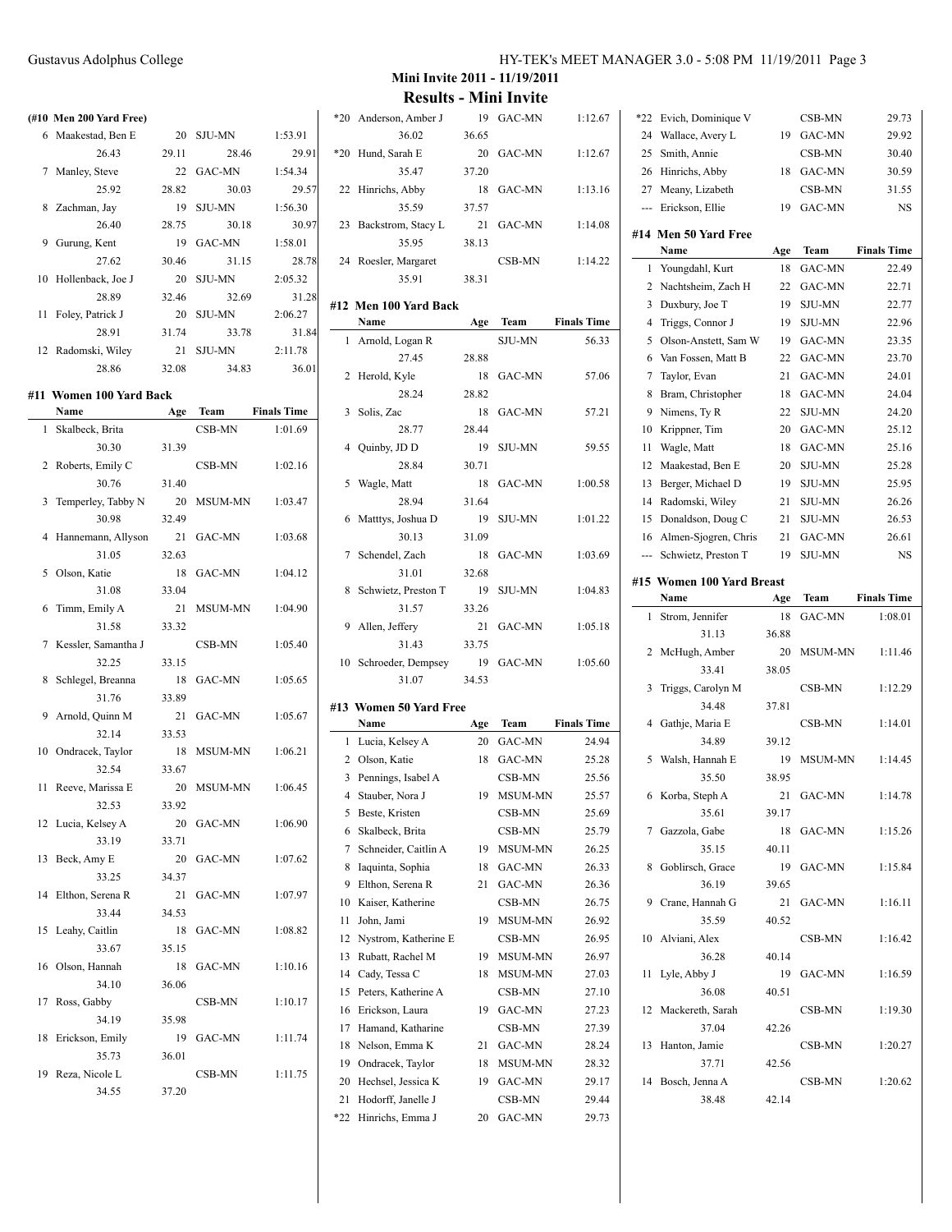|    | Name                     | Age   | Team          | <b>Finals Time</b> |
|----|--------------------------|-------|---------------|--------------------|
|    | #11  Women 100 Yard Back |       |               |                    |
|    | 28.86                    | 32.08 | 34.83         | 36.01              |
|    | 12 Radomski, Wiley       | 21    | SJU-MN        | 2:11.78            |
|    | 28.91                    | 31.74 | 33.78         | 31.84              |
|    | 11 Foley, Patrick J      | 20    | SJU-MN        | 2:06.27            |
|    | 28.89                    | 32.46 | 32.69         | 31.28              |
| 10 | Hollenback, Joe J        | 20    | <b>SJU-MN</b> | 2:05.32            |
|    | 27.62                    | 30.46 | 31.15         | 28.78              |
| 9  | Gurung, Kent             | 19    | <b>GAC-MN</b> | 1:58.01            |
|    | 26.40                    | 28.75 | 30.18         | 30.97              |
|    | 8 Zachman, Jay           | 19    | SJU-MN        | 1:56.30            |
|    | 25.92                    | 28.82 | 30.03         | 29.57              |
|    | 7 Manley, Steve          |       | 22 GAC-MN     | 1:54.34            |
|    | 26.43                    | 29.11 | 28.46         | 29.91              |
|    | 6 Maakestad, Ben E       | 20    | SJU-MN        | 1:53.91            |
|    | (#10 Men 200 Yard Free)  |       |               |                    |
|    |                          |       |               |                    |

| 1  | Skalbeck, Brita     |       | CSB-MN         | 1:01.69 |
|----|---------------------|-------|----------------|---------|
|    | 30.30               | 31.39 |                |         |
| 2  | Roberts, Emily C    |       | CSB-MN         | 1:02.16 |
|    | 30.76               | 31.40 |                |         |
| 3  | Temperley, Tabby N  | 20    | MSUM-MN        | 1:03.47 |
|    | 30.98               | 32.49 |                |         |
| 4  | Hannemann, Allyson  | 21    | GAC-MN         | 1:03.68 |
|    | 31.05               | 32.63 |                |         |
| 5  | Olson, Katie        | 18    | GAC-MN         | 1:04.12 |
|    | 31.08               | 33.04 |                |         |
| 6  | Timm, Emily A       | 21    | <b>MSUM-MN</b> | 1:04.90 |
|    | 31.58               | 33.32 |                |         |
| 7  | Kessler, Samantha J |       | CSB-MN         | 1:05.40 |
|    | 32.25               | 33.15 |                |         |
| 8  | Schlegel, Breanna   | 18    | GAC-MN         | 1:05.65 |
|    | 31.76               | 33.89 |                |         |
| 9  | Arnold, Quinn M     | 21    | GAC-MN         | 1:05.67 |
|    | 32.14               | 33.53 |                |         |
| 10 | Ondracek, Taylor    | 18    | MSUM-MN        | 1:06.21 |
|    | 32.54               | 33.67 |                |         |
| 11 | Reeve, Marissa E    | 20    | MSUM-MN        | 1:06.45 |
|    | 32.53               | 33.92 |                |         |
| 12 | Lucia, Kelsey A     | 20    | GAC-MN         | 1:06.90 |
|    | 33.19               | 33.71 |                |         |
| 13 | Beck, Amy E         | 20    | GAC-MN         | 1:07.62 |
|    | 33.25               | 34.37 |                |         |
| 14 | Elthon, Serena R    | 21    | GAC-MN         | 1:07.97 |
|    | 33.44               | 34.53 |                |         |
| 15 | Leahy, Caitlin      | 18    | GAC-MN         | 1:08.82 |
|    | 33.67               | 35.15 |                |         |
| 16 | Olson, Hannah       | 18    | GAC-MN         | 1:10.16 |
|    | 34.10               | 36.06 |                |         |
| 17 | Ross, Gabby         |       | CSB-MN         | 1:10.17 |
|    | 34.19               | 35.98 |                |         |
| 18 | Erickson, Emily     | 19    | GAC-MN         | 1:11.74 |
|    | 35.73               | 36.01 |                |         |
| 19 | Reza, Nicole L      |       | CSB-MN         | 1:11.75 |
|    | 34.55               | 37.20 |                |         |

**Mini Invite 2011 - 11/19/2011**

|                | <b>Results - Mini Invite</b>             |             |                   |                    |
|----------------|------------------------------------------|-------------|-------------------|--------------------|
| $*20$          | Anderson, Amber J                        | 19          | GAC-MN            | 1:12.67            |
|                | 36.02                                    | 36.65       |                   |                    |
| *20            | Hund, Sarah E                            | 20          | <b>GAC-MN</b>     | 1:12.67            |
|                | 35.47                                    | 37.20       |                   |                    |
| 22             | Hinrichs, Abby                           | 18          | GAC-MN            | 1:13.16            |
|                | 35.59                                    | 37.57       |                   |                    |
| 23             | Backstrom, Stacy L                       | 21          | <b>GAC-MN</b>     | 1:14.08            |
|                | 35.95                                    | 38.13       |                   |                    |
| 24             | Roesler, Margaret                        |             | CSB-MN            | 1:14.22            |
|                | 35.91                                    | 38.31       |                   |                    |
|                |                                          |             |                   |                    |
|                | #12 Men 100 Yard Back                    |             |                   |                    |
|                | Name                                     | Age         | Team              | <b>Finals Time</b> |
| 1              | Arnold, Logan R                          |             | <b>SJU-MN</b>     | 56.33              |
|                | 27.45                                    | 28.88       |                   |                    |
| 2              | Herold, Kyle                             | 18          | GAC-MN            | 57.06              |
|                | 28.24                                    | 28.82       |                   |                    |
| 3              | Solis, Zac                               | 18          | GAC-MN            | 57.21              |
| $\overline{4}$ | 28.77                                    | 28.44       | <b>SJU-MN</b>     |                    |
|                | Quinby, JD D<br>28.84                    | 19<br>30.71 |                   | 59.55              |
| 5              | Wagle, Matt                              | 18          | GAC-MN            | 1:00.58            |
|                | 28.94                                    | 31.64       |                   |                    |
| 6              | Matttys, Joshua D                        | 19          | <b>SJU-MN</b>     | 1:01.22            |
|                | 30.13                                    | 31.09       |                   |                    |
| 7              | Schendel, Zach                           | 18          | <b>GAC-MN</b>     | 1:03.69            |
|                | 31.01                                    | 32.68       |                   |                    |
| 8              | Schwietz, Preston T                      | 19          | <b>SJU-MN</b>     | 1:04.83            |
|                | 31.57                                    | 33.26       |                   |                    |
| 9              | Allen, Jeffery                           | 21          | <b>GAC-MN</b>     | 1:05.18            |
|                | 31.43                                    | 33.75       |                   |                    |
| 10             | Schroeder, Dempsey                       | 19          | <b>GAC-MN</b>     | 1:05.60            |
|                | 31.07                                    | 34.53       |                   |                    |
|                |                                          |             |                   |                    |
|                | #13 Women 50 Yard Free                   |             |                   |                    |
|                | Name                                     | Age         | Team              | <b>Finals Time</b> |
|                | 1 Lucia, Kelsey A                        | 20          | <b>GAC-MN</b>     | 24.94              |
| 2              | Olson, Katie                             | 18          | GAC-MN            | 25.28              |
| 3              | Pennings, Isabel A                       |             | CSB-MN            | 25.56              |
| 4              | Stauber, Nora J                          | 19          | MSUM-MN           | 25.57              |
| 5              | Beste, Kristen                           |             | CSB-MN            | 25.69              |
| 6              | Skalbeck, Brita                          |             | CSB-MN            | 25.79              |
| 7              | Schneider, Caitlin A                     | 19          | MSUM-MN           | 26.25              |
| 8              | Iaquinta, Sophia                         | 18          | GAC-MN            | 26.33              |
| 9              | Elthon, Serena R                         | 21          | GAC-MN            | 26.36              |
| 10             | Kaiser, Katherine                        |             | CSB-MN            | 26.75              |
| 11             | John, Jami                               | 19          | MSUM-MN           | 26.92              |
| 12             | Nystrom, Katherine E<br>Rubatt, Rachel M |             | CSB-MN            | 26.95              |
| 13<br>14       | Cady, Tessa C                            | 19<br>18    | MSUM-MN           | 26.97<br>27.03     |
| 15             | Peters, Katherine A                      |             | MSUM-MN<br>CSB-MN | 27.10              |
| 16             | Erickson, Laura                          | 19          | GAC-MN            | 27.23              |
| 17             | Hamand, Katharine                        |             | CSB-MN            | 27.39              |
| 18             | Nelson, Emma K                           | 21          | GAC-MN            | 28.24              |
| 19             | Ondracek, Taylor                         | 18          | MSUM-MN           | 28.32              |
| 20             | Hechsel, Jessica K                       | 19          | GAC-MN            | 29.17              |

21 Hodorff, Janelle J CSB-MN 29.44 \*22 Hinrichs, Emma J 20 GAC-MN 29.73

| *22            | Evich, Dominique V        |             | CSB-MN                | 29.73              |
|----------------|---------------------------|-------------|-----------------------|--------------------|
| 24             | Wallace, Avery L          | 19          | <b>GAC-MN</b>         | 29.92              |
| 25             | Smith, Annie              |             | CSB-MN                | 30.40              |
| 26             | Hinrichs, Abby            | 18          | GAC-MN                | 30.59              |
| 27             | Meany, Lizabeth           |             | CSB-MN                | 31.55              |
| ---            | Erickson, Ellie           | 19          | <b>GAC-MN</b>         | NS                 |
|                | #14 Men 50 Yard Free      |             |                       |                    |
|                | Name                      | Age         | Team                  | <b>Finals Time</b> |
| 1              | Youngdahl, Kurt           | 18          | GAC-MN                | 22.49              |
| 2              | Nachtsheim, Zach H        | 22          | GAC-MN                | 22.71              |
| 3              | Duxbury, Joe T            | 19          | <b>SJU-MN</b>         | 22.77              |
| 4              | Triggs, Connor J          | 19          | <b>SJU-MN</b>         | 22.96              |
| 5              | Olson-Anstett, Sam W      | 19          | GAC-MN                | 23.35              |
| 6              | Van Fossen, Matt B        | 22          | <b>GAC-MN</b>         | 23.70              |
| 7              | Taylor, Evan              | 21          | GAC-MN                | 24.01              |
| 8              | Bram, Christopher         | 18          | <b>GAC-MN</b>         | 24.04              |
| 9              | Nimens, Ty R              | 22          | <b>SJU-MN</b>         | 24.20              |
| 10             | Krippner, Tim             | 20          | GAC-MN                | 25.12              |
| 11             | Wagle, Matt               | 18          | <b>GAC-MN</b>         | 25.16              |
| 12             | Maakestad, Ben E          | 20          | <b>SJU-MN</b>         | 25.28              |
| 13             | Berger, Michael D         | 19          | <b>SJU-MN</b>         | 25.95              |
| 14             | Radomski, Wiley           | 21          | <b>SJU-MN</b>         | 26.26              |
| 15             | Donaldson, Doug C         | 21          | <b>SJU-MN</b>         | 26.53              |
| 16             | Almen-Sjogren, Chris      | 21          | GAC-MN                | 26.61              |
| ---            | Schwietz, Preston T       | 19          | <b>SJU-MN</b>         | NS                 |
|                |                           |             |                       |                    |
|                | #15 Women 100 Yard Breast |             |                       |                    |
| 1              | Name                      | Age         | Team<br><b>GAC-MN</b> | <b>Finals Time</b> |
|                | Strom, Jennifer<br>31.13  | 18          |                       | 1:08.01            |
| $\overline{c}$ | McHugh, Amber             | 36.88<br>20 | <b>MSUM-MN</b>        | 1:11.46            |
|                |                           |             |                       |                    |
|                |                           |             |                       |                    |
|                | 33.41                     | 38.05       |                       |                    |
| 3              | Triggs, Carolyn M         |             | CSB-MN                | 1:12.29            |
|                | 34.48                     | 37.81       |                       |                    |
| 4              | Gathje, Maria E<br>34.89  |             | CSB-MN                | 1:14.01            |
|                |                           | 39.12       |                       |                    |
| 5              | Walsh, Hannah E<br>35.50  | 19          | <b>MSUM-MN</b>        | 1:14.45            |
| 6              |                           | 38.95<br>21 | GAC-MN                | 1:14.78            |
|                | Korba, Steph A            | 39.17       |                       |                    |
| 7              | 35.61<br>Gazzola, Gabe    | 18          | GAC-MN                | 1:15.26            |
|                | 35.15                     | 40.11       |                       |                    |
| 8              | Goblirsch, Grace          | 19          | GAC-MN                | 1:15.84            |
|                | 36.19                     | 39.65       |                       |                    |
|                | 9 Crane, Hannah G         | 21          | GAC-MN                | 1:16.11            |
|                | 35.59                     | 40.52       |                       |                    |
|                | 10 Alviani, Alex          |             | CSB-MN                | 1:16.42            |
|                | 36.28                     | 40.14       |                       |                    |
| 11             | Lyle, Abby J              | 19          | GAC-MN                | 1:16.59            |
|                | 36.08                     | 40.51       |                       |                    |
|                | 12 Mackereth, Sarah       |             | CSB-MN                | 1:19.30            |
|                | 37.04                     | 42.26       |                       |                    |
| 13             | Hanton, Jamie             |             | CSB-MN                | 1:20.27            |
|                | 37.71                     | 42.56       |                       |                    |
| 14             | Bosch, Jenna A            |             | CSB-MN                | 1:20.62            |
|                | 38.48                     | 42.14       |                       |                    |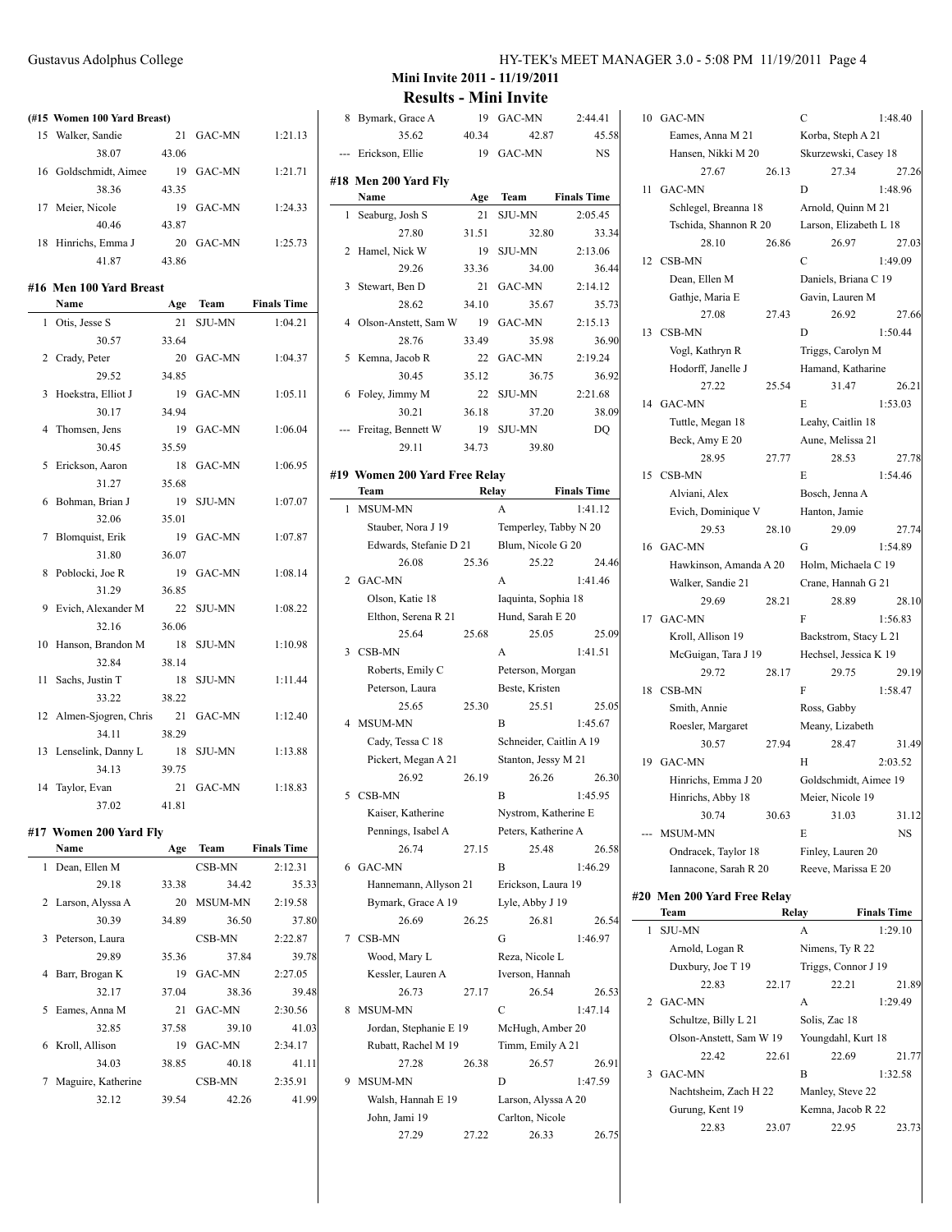#### **(#15 Women 100 Yard Breast)**

|    | 15 Walker, Sandie     | 21    | GAC-MN | 1:21.13 |
|----|-----------------------|-------|--------|---------|
|    | 38.07                 | 43.06 |        |         |
|    | 16 Goldschmidt, Aimee | 19    | GAC-MN | 1:21.71 |
|    | 38.36                 | 43.35 |        |         |
| 17 | Meier, Nicole         | 19    | GAC-MN | 1:24.33 |
|    | 40.46                 | 43.87 |        |         |
|    | 18 Hinrichs, Emma J   | 20    | GAC-MN | 1:25.73 |
|    | 41.87                 | 43.86 |        |         |

#### **#16 Men 100 Yard Breast**

|    | Name                 | Age   | Team          | <b>Finals Time</b> |
|----|----------------------|-------|---------------|--------------------|
| 1  | Otis, Jesse S        | 21    | <b>SJU-MN</b> | 1:04.21            |
|    | 30.57                | 33.64 |               |                    |
| 2  | Crady, Peter         | 20    | GAC-MN        | 1:04.37            |
|    | 29.52                | 34.85 |               |                    |
| 3  | Hoekstra, Elliot J   | 19    | GAC-MN        | 1:05.11            |
|    | 30.17                | 34.94 |               |                    |
| 4  | Thomsen, Jens        | 19    | GAC-MN        | 1:06.04            |
|    | 30.45                | 35.59 |               |                    |
| 5  | Erickson, Aaron      | 18    | GAC-MN        | 1:06.95            |
|    | 31.27                | 35.68 |               |                    |
| 6  | Bohman, Brian J      | 19    | <b>SJU-MN</b> | 1:07.07            |
|    | 32.06                | 35.01 |               |                    |
| 7  | Blomquist, Erik      | 19    | GAC-MN        | 1:07.87            |
|    | 31.80                | 36.07 |               |                    |
| 8  | Poblocki, Joe R      | 19    | GAC-MN        | 1:08.14            |
|    | 31.29                | 36.85 |               |                    |
| 9  | Evich, Alexander M   | 22    | <b>SJU-MN</b> | 1:08.22            |
|    | 32.16                | 36.06 |               |                    |
| 10 | Hanson, Brandon M    | 18    | <b>SJU-MN</b> | 1:10.98            |
|    | 32.84                | 38.14 |               |                    |
| 11 | Sachs, Justin T      | 18    | <b>SJU-MN</b> | 1:11.44            |
|    | 33.22                | 38.22 |               |                    |
| 12 | Almen-Sjogren, Chris | 21    | GAC-MN        | 1:12.40            |
|    | 34.11                | 38.29 |               |                    |
| 13 | Lenselink, Danny L   | 18    | <b>SJU-MN</b> | 1:13.88            |
|    | 34.13                | 39.75 |               |                    |
| 14 | Taylor, Evan         | 21    | GAC-MN        | 1:18.83            |
|    | 37.02                | 41.81 |               |                    |

#### **#17 Women 200 Yard Fly**

| Name                          | Age   | Team           | <b>Finals Time</b> |
|-------------------------------|-------|----------------|--------------------|
| Dean, Ellen M<br>$\mathbf{1}$ |       | CSB-MN         | 2:12.31            |
| 29.18                         | 33.38 | 34.42          | 35.33              |
| 2 Larson, Alyssa A            | 20    | <b>MSUM-MN</b> | 2:19.58            |
| 30.39                         | 34.89 | 36.50          | 37.80              |
| Peterson, Laura               |       | CSB-MN         | 2:22.87            |
| 29.89                         | 35.36 | 37.84          | 39.78              |
| Barr, Brogan K                | 19    | GAC-MN         | 2:27.05            |
| 32.17                         | 37.04 | 38.36          | 39.48              |
| Eames, Anna M                 | 21    | GAC-MN         | 2:30.56            |
| 32.85                         | 37.58 | 39.10          | 41.03              |
| Kroll, Allison                | 19    | GAC-MN         | 2:34.17            |
| 34.03                         | 38.85 | 40.18          | 41.11              |
| Maguire, Katherine            |       | CSB-MN         | 2:35.91            |
| 32.12                         | 39.54 | 42.26          | 41.99              |
|                               |       |                |                    |

# Gustavus Adolphus College HY-TEK's MEET MANAGER 3.0 - 5:08 PM 11/19/2011 Page 4

| 8              | Bymark, Grace A               |             | 19 GAC-MN               | 2:44.41            |
|----------------|-------------------------------|-------------|-------------------------|--------------------|
|                | 35.62                         | 40.34       | 42.87                   | 45.58              |
| ---            | Erickson, Ellie               | 19          | GAC-MN                  | <b>NS</b>          |
|                |                               |             |                         |                    |
|                | #18 Men 200 Yard Fly<br>Name  |             | Team                    | <b>Finals Time</b> |
| 1              |                               | Age         | <b>SJU-MN</b>           | 2:05.45            |
|                | Seaburg, Josh S               | 21          |                         |                    |
|                | 27.80                         | 31.51       | 32.80                   | 33.34              |
| 2              | Hamel, Nick W<br>29.26        | 19<br>33.36 | <b>SJU-MN</b><br>34.00  | 2:13.06<br>36.44   |
| 3              | Stewart, Ben D                | 21          | GAC-MN                  | 2:14.12            |
|                | 28.62                         |             |                         |                    |
| 4              |                               | 34.10       | 35.67<br>GAC-MN         | 35.73<br>2:15.13   |
|                | Olson-Anstett, Sam W<br>28.76 | 19<br>33.49 |                         |                    |
|                |                               |             | 35.98                   | 36.90              |
| 5              | Kemna, Jacob R                | 22          | <b>GAC-MN</b>           | 2:19.24            |
|                | 30.45                         | 35.12       | 36.75                   | 36.92              |
| 6              | Foley, Jimmy M                | 22          | <b>SJU-MN</b>           | 2:21.68            |
|                | 30.21                         | 36.18       | 37.20                   | 38.09              |
|                | Freitag, Bennett W            | 19          | <b>SJU-MN</b>           | DQ                 |
|                | 29.11                         | 34.73       | 39.80                   |                    |
|                | #19 Women 200 Yard Free Relay |             |                         |                    |
|                | Team                          |             | Relay                   | <b>Finals Time</b> |
| 1              | MSUM-MN                       |             | A                       | 1:41.12            |
|                | Stauber, Nora J 19            |             | Temperley, Tabby N 20   |                    |
|                | Edwards, Stefanie D 21        |             | Blum, Nicole G 20       |                    |
|                | 26.08                         | 25.36       | 25.22                   | 24.46              |
| $\overline{2}$ | GAC-MN                        |             | A                       | 1:41.46            |
|                | Olson, Katie 18               |             | Iaquinta, Sophia 18     |                    |
|                | Elthon, Serena R 21           |             | Hund, Sarah E 20        |                    |
|                | 25.64                         | 25.68       | 25.05                   | 25.09              |
| 3              | CSB-MN                        |             | A                       | 1:41.51            |
|                | Roberts, Emily C              |             | Peterson, Morgan        |                    |
|                | Peterson, Laura               |             | Beste, Kristen          |                    |
|                | 25.65                         | 25.30       | 25.51                   | 25.05              |
|                | 4 MSUM-MN                     |             | B                       | 1:45.67            |
|                | Cady, Tessa C 18              |             | Schneider, Caitlin A 19 |                    |
|                | Pickert, Megan A 21           |             | Stanton, Jessy M 21     |                    |
|                | 26.92                         | 26.19       | 26.26                   | 26.30              |
| 5              | CSB-MN                        |             | B                       | 1:45.95            |
|                | Kaiser, Katherine             |             | Nystrom, Katherine E    |                    |
|                | Pennings, Isabel A            |             | Peters, Katherine A     |                    |
|                | 26.74                         | 27.15       | 25.48                   | 26.58              |
| 6              | GAC-MN                        |             | B                       | 1:46.29            |
|                | Hannemann, Allyson 21         |             | Erickson, Laura 19      |                    |
|                | Bymark, Grace A 19            |             | Lyle, Abby J 19         |                    |
|                | 26.69                         | 26.25       | 26.81                   | 26.54              |
| 7              | CSB-MN                        |             | G                       | 1:46.97            |
|                | Wood, Mary L                  |             | Reza, Nicole L          |                    |
|                | Kessler, Lauren A             |             | Iverson, Hannah         |                    |
|                | 26.73                         | 27.17       | 26.54                   | 26.53              |
| 8              | MSUM-MN                       |             | C                       | 1:47.14            |
|                | Jordan, Stephanie E 19        |             | McHugh, Amber 20        |                    |
|                | Rubatt, Rachel M 19           |             | Timm, Emily A 21        |                    |
|                | 27.28                         | 26.38       | 26.57                   | 26.91              |
| 9              | MSUM-MN                       |             | D                       | 1:47.59            |
|                | Walsh, Hannah E 19            |             | Larson, Alyssa A 20     |                    |
|                | John, Jami 19                 |             | Carlton, Nicole         |                    |
|                | 27.29                         | 27.22       | 26.33                   | 26.75              |
|                |                               |             |                         |                    |

| 10 | GAC-MN                      |       | $\overline{C}$         | 1:48.40            |
|----|-----------------------------|-------|------------------------|--------------------|
|    | Eames, Anna M 21            |       | Korba, Steph A 21      |                    |
|    | Hansen, Nikki M 20          |       | Skurzewski, Casey 18   |                    |
|    | 27.67                       | 26.13 | 27.34                  | 27.26              |
| 11 | GAC-MN                      |       | D                      | 1:48.96            |
|    | Schlegel, Breanna 18        |       | Arnold, Quinn M 21     |                    |
|    | Tschida, Shannon R 20       |       | Larson, Elizabeth L 18 |                    |
|    | 28.10                       | 26.86 | 26.97                  | 27.03              |
|    | 12 CSB-MN                   |       | $\overline{C}$         | 1:49.09            |
|    | Dean, Ellen M               |       | Daniels, Briana C 19   |                    |
|    | Gathje, Maria E             |       | Gavin, Lauren M        |                    |
|    | 27.08                       | 27.43 | 26.92                  | 27.66              |
|    | 13 CSB-MN                   |       | D                      | 1:50.44            |
|    | Vogl, Kathryn R             |       | Triggs, Carolyn M      |                    |
|    | Hodorff, Janelle J          |       | Hamand, Katharine      |                    |
|    | 27.22                       | 25.54 | 31.47                  | 26.21              |
|    | 14 GAC-MN                   |       | E                      | 1:53.03            |
|    | Tuttle, Megan 18            |       | Leahy, Caitlin 18      |                    |
|    | Beck, Amy E 20              |       | Aune, Melissa 21       |                    |
|    | 28.95                       | 27.77 | 28.53                  | 27.78              |
|    | 15 CSB-MN                   |       | E                      | 1:54.46            |
|    | Alviani, Alex               |       | Bosch, Jenna A         |                    |
|    | Evich, Dominique V          |       | Hanton, Jamie          |                    |
|    | 29.53                       | 28.10 | 29.09                  | 27.74              |
| 16 | GAC-MN                      |       | G                      | 1:54.89            |
|    | Hawkinson, Amanda A 20      |       | Holm, Michaela C 19    |                    |
|    | Walker, Sandie 21           |       | Crane, Hannah G 21     |                    |
| 17 | 29.69<br>GAC-MN             | 28.21 | 28.89<br>F             | 28.10<br>1:56.83   |
|    | Kroll, Allison 19           |       | Backstrom, Stacy L 21  |                    |
|    | McGuigan, Tara J 19         |       | Hechsel, Jessica K 19  |                    |
|    | 29.72                       | 28.17 | 29.75                  | 29.19              |
| 18 | CSB-MN                      |       | F                      | 1:58.47            |
|    | Smith, Annie                |       | Ross, Gabby            |                    |
|    | Roesler, Margaret           |       | Meany, Lizabeth        |                    |
|    | 30.57                       | 27.94 | 28.47                  | 31.49              |
| 19 | GAC-MN                      |       | Н                      | 2:03.52            |
|    | Hinrichs, Emma J 20         |       | Goldschmidt, Aimee 19  |                    |
|    | Hinrichs, Abby 18           |       | Meier, Nicole 19       |                    |
|    | 30.74                       | 30.63 | 31.03                  | 31.12              |
|    | <b>MSUM-MN</b>              |       | E                      | NS                 |
|    | Ondracek, Taylor 18         |       | Finley, Lauren 20      |                    |
|    | Iannacone, Sarah R 20       |       | Reeve, Marissa E 20    |                    |
|    | #20 Men 200 Yard Free Relay |       |                        |                    |
|    | Team                        | Relay |                        | <b>Finals Time</b> |
| 1  | <b>SJU-MN</b>               |       | А                      | 1:29.10            |
|    | Arnold, Logan R             |       | Nimens, Ty R 22        |                    |
|    | Duxbury, Joe T 19           |       | Triggs, Connor J 19    |                    |
|    | 22.83                       | 22.17 | 22.21                  | 21.89              |
| 2  | GAC-MN                      |       | A                      | 1:29.49            |
|    | Schultze, Billy L 21        |       | Solis, Zac 18          |                    |
|    | Olson-Anstett, Sam W 19     |       | Youngdahl, Kurt 18     |                    |
|    | 22.42                       | 22.61 | 22.69                  | 21.77              |
| 3  | GAC-MN                      |       | B                      | 1:32.58            |
|    | Nachtsheim, Zach H 22       |       | Manley, Steve 22       |                    |
|    | Gurung, Kent 19             |       | Kemna, Jacob R 22      |                    |
|    | 22.83                       | 23.07 | 22.95                  | 23.73              |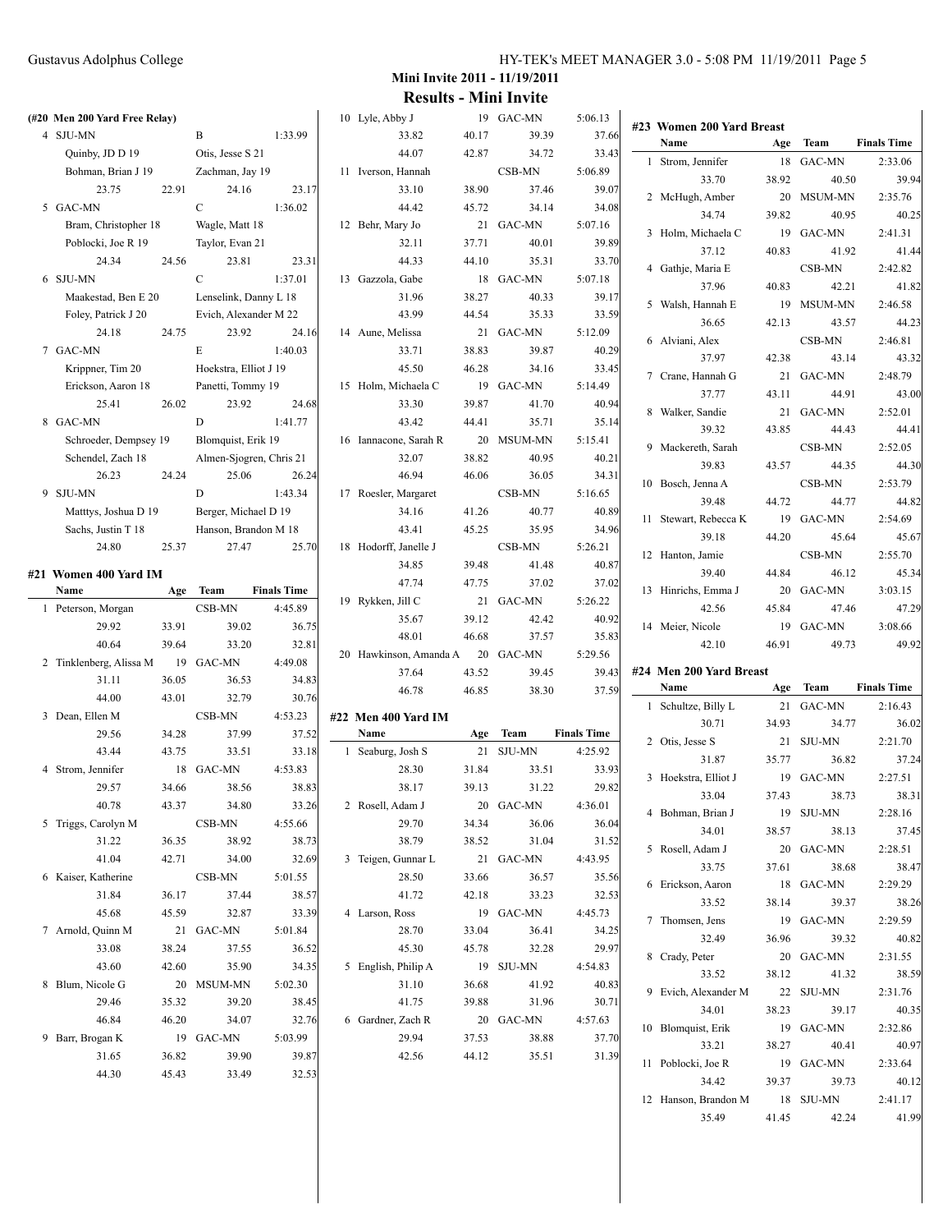# Gustavus Adolphus College

| HY-TEK's MEET MANAGER 3.0 - 5:08 PM 11/19/2011 Page 5 |  |  |  |
|-------------------------------------------------------|--|--|--|
|-------------------------------------------------------|--|--|--|

| (#20 Men 200 Yard Free Relay)    |       |                            |                    | 10 Lyle, Abby J             |       | 19 GAC-MN           | 5:06.13            |                           |       |               |                    |
|----------------------------------|-------|----------------------------|--------------------|-----------------------------|-------|---------------------|--------------------|---------------------------|-------|---------------|--------------------|
| 4 SJU-MN                         |       | B                          | 1:33.99            | 33.82                       | 40.17 | 39.39               | 37.66              | #23 Women 200 Yard Breast |       |               |                    |
| Quinby, JD D 19                  |       | Otis, Jesse S 21           |                    | 44.07                       | 42.87 | 34.72               | 33.43              | Name                      | Age   | Team          | <b>Finals Time</b> |
| Bohman, Brian J 19               |       | Zachman, Jay 19            |                    | 11 Iverson, Hannah          |       | CSB-MN              | 5:06.89            | 1 Strom, Jennifer         |       | 18 GAC-MN     | 2:33.06            |
| 23.75                            | 22.91 | 24.16                      | 23.17              | 33.10                       | 38.90 | 37.46               | 39.07              | 33.70                     | 38.92 | 40.50         | 39.94              |
| 5 GAC-MN                         |       | $\mathcal{C}$              | 1:36.02            | 44.42                       | 45.72 | 34.14               | 34.08              | 2 McHugh, Amber           |       | 20 MSUM-MN    | 2:35.76            |
| Bram, Christopher 18             |       | Wagle, Matt 18             |                    | 12 Behr, Mary Jo            |       | 21 GAC-MN           | 5:07.16            | 34.74                     | 39.82 | 40.95         | 40.25              |
| Poblocki, Joe R 19               |       | Taylor, Evan 21            |                    | 32.11                       | 37.71 | 40.01               | 39.89              | 3 Holm, Michaela C        | 19    | GAC-MN        | 2:41.31            |
| 24.34                            | 24.56 | 23.81                      | 23.31              | 44.33                       | 44.10 | 35.31               | 33.70              | 37.12                     | 40.83 | 41.92         | 41.44              |
| 6 SJU-MN                         |       | $\mathcal{C}$              | 1:37.01            | 13 Gazzola, Gabe            |       | 18 GAC-MN           | 5:07.18            | 4 Gathje, Maria E         |       | CSB-MN        | 2:42.82            |
| Maakestad, Ben E 20              |       | Lenselink, Danny L 18      |                    | 31.96                       | 38.27 | 40.33               | 39.17              | 37.96                     | 40.83 | 42.21         | 41.82              |
| Foley, Patrick J 20              |       | Evich, Alexander M 22      |                    | 43.99                       | 44.54 | 35.33               | 33.59              | 5 Walsh, Hannah E         |       | 19 MSUM-MN    | 2:46.58            |
| 24.18                            | 24.75 | 23.92                      | 24.16              | 14 Aune, Melissa            |       | 21 GAC-MN           | 5:12.09            | 36.65                     | 42.13 | 43.57         | 44.23              |
| 7 GAC-MN                         |       | E                          | 1:40.03            | 33.71                       | 38.83 | 39.87               | 40.29              | 6 Alviani, Alex           |       | CSB-MN        | 2:46.81            |
| Krippner, Tim 20                 |       | Hoekstra, Elliot J 19      |                    | 45.50                       | 46.28 | 34.16               | 33.45              | 37.97                     | 42.38 | 43.14         | 43.32              |
|                                  |       |                            |                    | 15 Holm, Michaela C         |       | 19 GAC-MN           | 5:14.49            | 7 Crane, Hannah G         | 21    | <b>GAC-MN</b> | 2:48.79            |
| Erickson, Aaron 18<br>25.41      | 26.02 | Panetti, Tommy 19<br>23.92 | 24.68              | 33.30                       | 39.87 | 41.70               | 40.94              | 37.77                     | 43.11 | 44.91         | 43.00              |
| 8 GAC-MN                         |       | D                          | 1:41.77            | 43.42                       | 44.41 |                     |                    | 8 Walker, Sandie          |       | 21 GAC-MN     | 2:52.01            |
|                                  |       | Blomquist, Erik 19         |                    |                             |       | 35.71<br>20 MSUM-MN | 35.14              | 39.32                     | 43.85 | 44.43         | 44.41              |
| Schroeder, Dempsey 19            |       |                            |                    | 16 Iannacone, Sarah R       |       |                     | 5:15.41            | 9 Mackereth, Sarah        |       | CSB-MN        | 2:52.05            |
| Schendel, Zach 18                |       | Almen-Sjogren, Chris 21    |                    | 32.07                       | 38.82 | 40.95               | 40.21              | 39.83                     | 43.57 | 44.35         | 44.30              |
| 26.23                            | 24.24 | 25.06                      | 26.24              | 46.94                       | 46.06 | 36.05               | 34.31              | 10 Bosch, Jenna A         |       | CSB-MN        | 2:53.79            |
| 9 SJU-MN                         |       | D                          | 1:43.34            | 17 Roesler, Margaret        |       | CSB-MN              | 5:16.65            | 39.48                     | 44.72 | 44.77         | 44.82              |
| Matttys, Joshua D 19             |       | Berger, Michael D 19       |                    | 34.16                       | 41.26 | 40.77               | 40.89              | 11 Stewart, Rebecca K     |       | 19 GAC-MN     | 2:54.69            |
| Sachs, Justin T 18               |       | Hanson, Brandon M 18       |                    | 43.41                       | 45.25 | 35.95               | 34.96              | 39.18                     | 44.20 | 45.64         | 45.67              |
| 24.80                            | 25.37 | 27.47                      | 25.70              | 18 Hodorff, Janelle J       |       | CSB-MN              | 5:26.21            | 12 Hanton, Jamie          |       | CSB-MN        | 2:55.70            |
| #21  Women 400 Yard IM           |       |                            |                    | 34.85                       | 39.48 | 41.48               | 40.87              | 39.40                     | 44.84 | 46.12         | 45.34              |
| Name                             |       | Age Team                   | <b>Finals Time</b> | 47.74                       | 47.75 | 37.02               | 37.02              | 13 Hinrichs, Emma J       |       | 20 GAC-MN     | 3:03.15            |
| 1 Peterson, Morgan               |       | CSB-MN                     | 4:45.89            | 19 Rykken, Jill C           |       | 21 GAC-MN           | 5:26.22            | 42.56                     |       | 47.46         | 47.29              |
|                                  |       |                            |                    |                             |       |                     |                    |                           | 45.84 |               |                    |
| 29.92                            | 33.91 | 39.02                      | 36.75              | 35.67                       | 39.12 | 42.42               | 40.92              | 14 Meier, Nicole          |       | 19 GAC-MN     | 3:08.66            |
| 40.64                            | 39.64 | 33.20                      | 32.81              | 48.01                       | 46.68 | 37.57               | 35.83              | 42.10                     | 46.91 | 49.73         | 49.92              |
|                                  |       | 19 GAC-MN                  | 4:49.08            | 20 Hawkinson, Amanda A      |       | 20 GAC-MN           | 5:29.56            |                           |       |               |                    |
| 2 Tinklenberg, Alissa M<br>31.11 | 36.05 | 36.53                      | 34.83              | 37.64                       | 43.52 | 39.45               | 39.43              | #24 Men 200 Yard Breast   |       |               |                    |
| 44.00                            | 43.01 | 32.79                      | 30.76              | 46.78                       | 46.85 | 38.30               | 37.59              | Name                      | Age   | <b>Team</b>   | <b>Finals Time</b> |
| 3 Dean, Ellen M                  |       | CSB-MN                     | 4:53.23            |                             |       |                     |                    | 1 Schultze, Billy L       | 21    | GAC-MN        | 2:16.43            |
| 29.56                            | 34.28 | 37.99                      | 37.52              | #22 Men 400 Yard IM<br>Name | Age   | Team                | <b>Finals Time</b> | 30.71                     | 34.93 | 34.77         | 36.02              |
| 43.44                            | 43.75 | 33.51                      | 33.18              | 1 Seaburg, Josh S           |       | 21 SJU-MN           | 4:25.92            | 2 Otis, Jesse S           |       | 21 SJU-MN     | 2:21.70            |
| 4 Strom, Jennifer                |       | 18 GAC-MN                  | 4:53.83            | 28.30                       | 31.84 | 33.51               | 33.93              | 31.87                     | 35.77 | 36.82         | 37.24              |
|                                  |       | 38.56                      |                    | 38.17                       | 39.13 | 31.22               |                    | 3 Hoekstra, Elliot J      |       | 19 GAC-MN     | 2:27.51            |
| 29.57                            | 34.66 |                            | 38.83              |                             |       |                     | 29.82              | 33.04                     | 37.43 | 38.73         | 38.31              |
| 40.78                            | 43.37 | 34.80                      | 33.26              | 2 Rosell, Adam J            |       | 20 GAC-MN           | 4:36.01            | 4 Bohman, Brian J         |       | 19 SJU-MN     | 2:28.16            |
| 5 Triggs, Carolyn M              |       | CSB-MN                     | 4:55.66            | 29.70                       | 34.34 | 36.06               | 36.04              | 34.01                     | 38.57 | 38.13         | 37.45              |
| 31.22                            | 36.35 | 38.92                      | 38.73              | 38.79                       | 38.52 | 31.04               | 31.52              | 5 Rosell, Adam J          |       | 20 GAC-MN     | 2:28.51            |
| 41.04                            | 42.71 | 34.00                      | 32.69              | 3 Teigen, Gunnar L          |       | 21 GAC-MN           | 4:43.95            | 33.75                     | 37.61 | 38.68         | 38.47              |
| 6 Kaiser, Katherine              |       | CSB-MN                     | 5:01.55            | 28.50                       | 33.66 | 36.57               | 35.56              | 6 Erickson, Aaron         |       | 18 GAC-MN     | 2:29.29            |
| 31.84                            | 36.17 | 37.44                      | 38.57              | 41.72                       | 42.18 | 33.23               | 32.53              | 33.52                     | 38.14 | 39.37         | 38.26              |
| 45.68                            | 45.59 | 32.87                      | 33.39              | 4 Larson, Ross              |       | 19 GAC-MN           | 4:45.73            | 7 Thomsen, Jens           |       | 19 GAC-MN     | 2:29.59            |
| 7 Arnold, Quinn M                |       | 21 GAC-MN                  | 5:01.84            | 28.70                       | 33.04 | 36.41               | 34.25              | 32.49                     | 36.96 | 39.32         | 40.82              |
| 33.08                            | 38.24 | 37.55                      | 36.52              | 45.30                       | 45.78 | 32.28               | 29.97              | 8 Crady, Peter            |       | 20 GAC-MN     | 2:31.55            |
| 43.60                            | 42.60 | 35.90                      | 34.35              | 5 English, Philip A         |       | 19 SJU-MN           | 4:54.83            | 33.52                     | 38.12 | 41.32         | 38.59              |
| 8 Blum, Nicole G                 |       | 20 MSUM-MN                 | 5:02.30            | 31.10                       | 36.68 | 41.92               | 40.83              | 9 Evich, Alexander M      |       | 22 SJU-MN     | 2:31.76            |
| 29.46                            | 35.32 | 39.20                      | 38.45              | 41.75                       | 39.88 | 31.96               | 30.71              | 34.01                     | 38.23 | 39.17         | 40.35              |
| 46.84                            | 46.20 | 34.07                      | 32.76              | 6 Gardner, Zach R           |       | 20 GAC-MN           | 4:57.63            | 10 Blomquist, Erik        |       | 19 GAC-MN     | 2:32.86            |
| 9 Barr, Brogan K                 |       | 19 GAC-MN                  | 5:03.99            | 29.94                       | 37.53 | 38.88               | 37.70              | 33.21                     | 38.27 | 40.41         | 40.97              |
| 31.65                            | 36.82 | 39.90                      | 39.87              | 42.56                       | 44.12 | 35.51               | 31.39              | 11 Poblocki, Joe R        |       | 19 GAC-MN     | 2:33.64            |
| 44.30                            | 45.43 | 33.49                      | 32.53              |                             |       |                     |                    | 34.42                     | 39.37 | 39.73         | 40.12              |
|                                  |       |                            |                    |                             |       |                     |                    | 12 Hanson, Brandon M      |       | 18 SJU-MN     | 2:41.17            |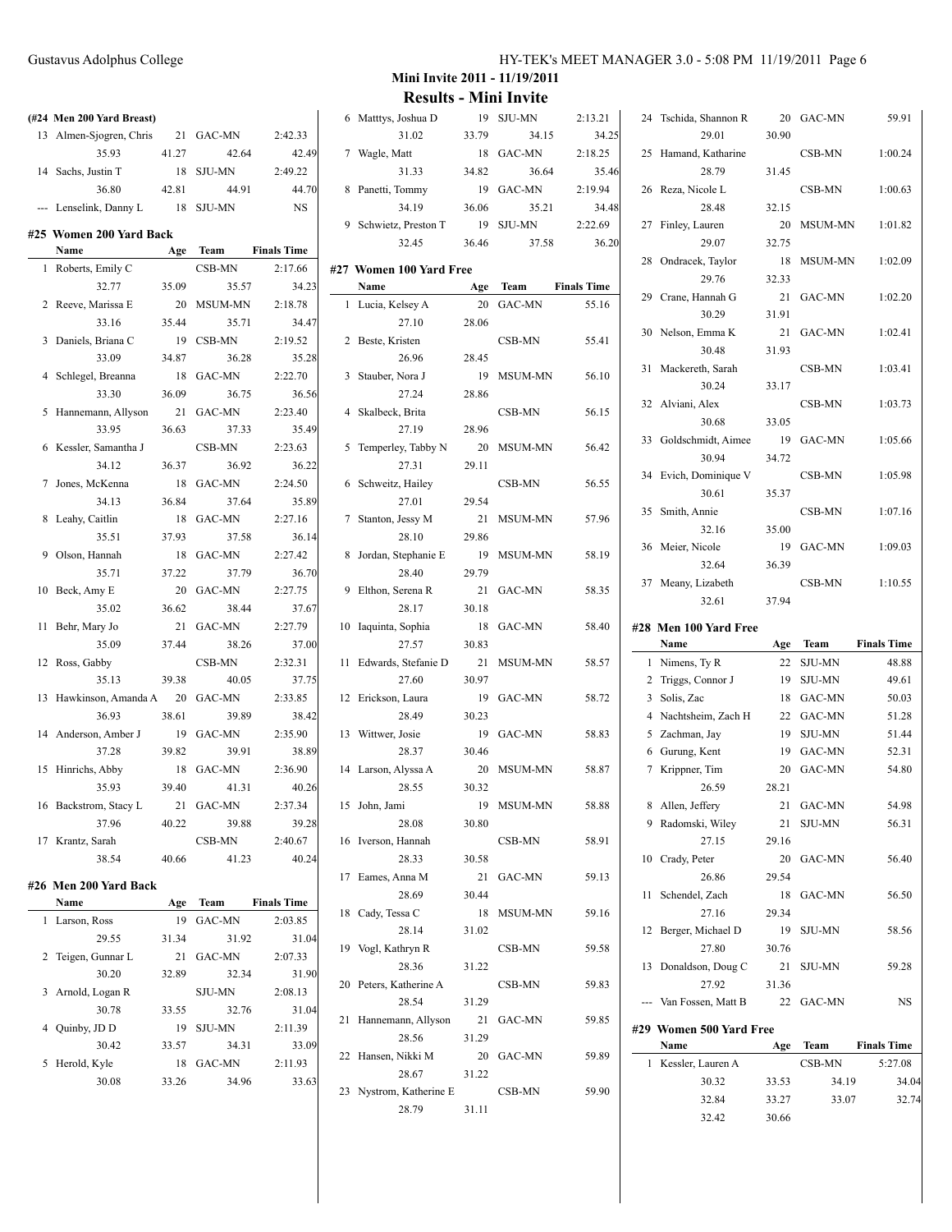|    | (#24 Men 200 Yard Breast) |       |                |                    |
|----|---------------------------|-------|----------------|--------------------|
| 13 | Almen-Sjogren, Chris      | 21    | <b>GAC-MN</b>  | 2:42.33            |
|    | 35.93                     |       | 42.64          | 42.49              |
|    |                           | 41.27 |                | 2:49.22            |
| 14 | Sachs, Justin T           | 18    | <b>SJU-MN</b>  |                    |
|    | 36.80                     | 42.81 | 44.91          | 44.70              |
|    | Lenselink, Danny L        | 18    | <b>SJU-MN</b>  | <b>NS</b>          |
|    | #25 Women 200 Yard Back   |       |                |                    |
|    | Name                      | Age   | <b>Team</b>    | <b>Finals Time</b> |
| 1  | Roberts, Emily C          |       | CSB-MN         | 2:17.66            |
|    | 32.77                     | 35.09 | 35.57          | 34.23              |
| 2  | Reeve, Marissa E          | 20    | <b>MSUM-MN</b> | 2:18.78            |
|    | 33.16                     | 35.44 | 35.71          | 34.47              |
| 3  | Daniels, Briana C         | 19    | CSB-MN         | 2:19.52            |
|    | 33.09                     | 34.87 | 36.28          | 35.28              |
| 4  | Schlegel, Breanna         | 18    | GAC-MN         | 2:22.70            |
|    | 33.30                     | 36.09 | 36.75          | 36.56              |
| 5  | Hannemann, Allyson        | 21    | GAC-MN         | 2:23.40            |
|    | 33.95                     | 36.63 | 37.33          | 35.49              |
| 6  | Kessler, Samantha J       |       | CSB-MN         | 2:23.63            |
|    | 34.12                     | 36.37 | 36.92          | 36.22              |
| 7  | Jones, McKenna            | 18    | <b>GAC-MN</b>  | 2:24.50            |
|    | 34.13                     | 36.84 | 37.64          | 35.89              |
| 8  | Leahy, Caitlin            | 18    | <b>GAC-MN</b>  | 2:27.16            |
|    | 35.51                     | 37.93 | 37.58          | 36.14              |
| 9  | Olson, Hannah             | 18    | <b>GAC-MN</b>  | 2:27.42            |
|    | 35.71                     | 37.22 | 37.79          | 36.70              |
| 10 | Beck, Amy E               | 20    | GAC-MN         | 2:27.75            |
|    | 35.02                     | 36.62 | 38.44          | 37.67              |
| 11 | Behr, Mary Jo             | 21    | <b>GAC-MN</b>  | 2:27.79            |
|    | 35.09                     | 37.44 | 38.26          | 37.00              |
| 12 | Ross, Gabby               |       | CSB-MN         | 2:32.31            |
|    | 35.13                     | 39.38 | 40.05          | 37.75              |
| 13 | Hawkinson, Amanda A       | 20    | GAC-MN         | 2:33.85            |
|    | 36.93                     | 38.61 | 39.89          | 38.42              |
| 14 | Anderson, Amber J         | 19    | GAC-MN         | 2:35.90            |
|    | 37.28                     | 39.82 | 39.91          | 38.89              |
| 15 | Hinrichs, Abby            | 18    | GAC-MN         | 2:36.90            |
|    | 35.93                     | 39.40 | 41.31          | 40.26              |
| 16 | Backstrom, Stacy L        | 21    | GAC-MN         | 2:37.34            |
|    | 37.96                     | 40.22 | 39.88          | 39.28              |

#### **#26 Men 200 Yard Back**

 $\equiv$ 

|    | Name               | Age   | <b>Team</b>   | <b>Finals Time</b> |
|----|--------------------|-------|---------------|--------------------|
| 1. | Larson, Ross       | 19    | <b>GAC-MN</b> | 2:03.85            |
|    | 29.55              | 31.34 | 31.92         | 31.04              |
|    | 2 Teigen, Gunnar L | 21    | GAC-MN        | 2:07.33            |
|    | 30.20              | 32.89 | 32.34         | 31.90              |
|    | 3 Arnold, Logan R  |       | <b>SJU-MN</b> | 2:08.13            |
|    | 30.78              | 33.55 | 32.76         | 31.04              |
|    | Ouinby, JD D       | 19    | <b>SJU-MN</b> | 2:11.39            |
|    | 30.42              | 33.57 | 34.31         | 33.09              |
| 5. | Herold, Kyle       | 18    | GAC-MN        | 2:11.93            |
|    | 30.08              | 33.26 | 34.96         | 33.63              |
|    |                    |       |               |                    |

17 Krantz, Sarah CSB-MN 2:40.67

38.54 40.66 41.23 40.24

**Mini Invite 2011 - 11/19/2011 Results - Mini Invite**

 $\overline{\phantom{0}}$ 

| 6              | Matttys, Joshua D               | 19    | <b>SJU-MN</b>  | 2:13.21            |
|----------------|---------------------------------|-------|----------------|--------------------|
|                | 31.02                           | 33.79 | 34.15          | 34.25              |
| 7              | Wagle, Matt                     | 18    | GAC-MN         | 2:18.25            |
|                | 31.33                           | 34.82 | 36.64          | 35.46              |
| 8              | Panetti, Tommy                  | 19    | GAC-MN         | 2:19.94            |
|                | 34.19                           | 36.06 | 35.21          | 34.48              |
| 9              | Schwietz, Preston T             | 19    | <b>SJU-MN</b>  | 2:22.69            |
|                | 32.45                           | 36.46 | 37.58          | 36.20              |
|                |                                 |       |                |                    |
|                | #27 Women 100 Yard Free<br>Name | Age   | Team           | <b>Finals Time</b> |
| 1              | Lucia, Kelsey A                 | 20    | GAC-MN         | 55.16              |
|                | 27.10                           | 28.06 |                |                    |
| 2              | Beste, Kristen                  |       | CSB-MN         | 55.41              |
|                | 26.96                           | 28.45 |                |                    |
| 3              | Stauber, Nora J                 | 19    | MSUM-MN        | 56.10              |
|                | 27.24                           | 28.86 |                |                    |
| $\overline{4}$ | Skalbeck, Brita                 |       | CSB-MN         | 56.15              |
|                | 27.19                           | 28.96 |                |                    |
| 5              | Temperley, Tabby N              | 20    | MSUM-MN        | 56.42              |
|                | 27.31                           | 29.11 |                |                    |
| 6              | Schweitz, Hailey                |       | CSB-MN         | 56.55              |
|                | 27.01                           | 29.54 |                |                    |
| 7              | Stanton, Jessy M                | 21    | MSUM-MN        | 57.96              |
|                | 28.10                           | 29.86 |                |                    |
| 8              | Jordan, Stephanie E             | 19    | MSUM-MN        | 58.19              |
|                | 28.40                           | 29.79 |                |                    |
| 9              | Elthon, Serena R                | 21    | GAC-MN         | 58.35              |
|                | 28.17                           | 30.18 |                |                    |
| 10             | Iaquinta, Sophia                | 18    | GAC-MN         | 58.40              |
|                | 27.57                           | 30.83 |                |                    |
| 11             | Edwards, Stefanie D             | 21    | <b>MSUM-MN</b> | 58.57              |
|                | 27.60                           | 30.97 |                |                    |
| 12             | Erickson, Laura                 | 19    | GAC-MN         | 58.72              |
|                | 28.49                           | 30.23 |                |                    |
| 13             | Wittwer, Josie                  | 19    | GAC-MN         | 58.83              |
|                | 28.37                           | 30.46 |                |                    |
|                | 14 Larson, Alyssa A             | 20    | MSUM-MN        | 58.87              |
|                | 28.55                           | 30.32 |                |                    |
|                | 15 John, Jami                   | 19    | MSUM-MN        | 58.88              |
|                | 28.08                           | 30.80 |                |                    |
| 16             | Iverson, Hannah<br>28.33        | 30.58 | CSB-MN         | 58.91              |
| 17             |                                 | 21    | GAC-MN         | 59.13              |
|                | Eames, Anna M<br>28.69          | 30.44 |                |                    |
| 18             | Cady, Tessa C                   | 18    | MSUM-MN        | 59.16              |
|                | 28.14                           | 31.02 |                |                    |
| 19             | Vogl, Kathryn R                 |       | CSB-MN         | 59.58              |
|                | 28.36                           | 31.22 |                |                    |
| 20             | Peters, Katherine A             |       | CSB-MN         | 59.83              |
|                | 28.54                           | 31.29 |                |                    |
| 21             | Hannemann, Allyson              |       | 21 GAC-MN      | 59.85              |
|                | 28.56                           | 31.29 |                |                    |
| 22             | Hansen, Nikki M                 |       | 20 GAC-MN      | 59.89              |
|                | 28.67                           | 31.22 |                |                    |
| 23             | Nystrom, Katherine E            |       | CSB-MN         | 59.90              |
|                | 28.79                           | 31.11 |                |                    |
|                |                                 |       |                |                    |

| 24 | Tschida, Shannon R            | 20             | GAC-MN          | 59.91              |
|----|-------------------------------|----------------|-----------------|--------------------|
|    | 29.01                         | 30.90          |                 |                    |
| 25 | Hamand, Katharine<br>28.79    |                | CSB-MN          | 1:00.24            |
| 26 | Reza, Nicole L                | 31.45          | CSB-MN          | 1:00.63            |
|    | 28.48                         | 32.15          |                 |                    |
| 27 | Finley, Lauren                | 20             | MSUM-MN         | 1:01.82            |
|    | 29.07                         | 32.75          |                 |                    |
| 28 | Ondracek, Taylor              | 18             | <b>MSUM-MN</b>  | 1:02.09            |
|    | 29.76                         | 32.33          |                 |                    |
| 29 | Crane, Hannah G               | 21             | GAC-MN          | 1:02.20            |
|    | 30.29                         | 31.91          |                 |                    |
| 30 | Nelson, Emma K                | 21             | GAC-MN          | 1:02.41            |
|    | 30.48                         | 31.93          |                 |                    |
| 31 | Mackereth, Sarah              |                | CSB-MN          | 1:03.41            |
|    | 30.24                         | 33.17          |                 |                    |
| 32 | Alviani, Alex                 |                | CSB-MN          | 1:03.73            |
|    | 30.68                         | 33.05          |                 |                    |
| 33 | Goldschmidt, Aimee            | 19             | GAC-MN          | 1:05.66            |
|    | 30.94                         | 34.72          |                 |                    |
| 34 | Evich, Dominique V            |                | CSB-MN          | 1:05.98            |
| 35 | 30.61<br>Smith, Annie         | 35.37          | CSB-MN          | 1:07.16            |
|    | 32.16                         | 35.00          |                 |                    |
| 36 | Meier, Nicole                 | 19             | GAC-MN          | 1:09.03            |
|    | 32.64                         | 36.39          |                 |                    |
| 37 | Meany, Lizabeth               |                | CSB-MN          | 1:10.55            |
|    | 32.61                         | 37.94          |                 |                    |
|    |                               |                |                 |                    |
|    |                               |                |                 |                    |
|    | #28 Men 100 Yard Free<br>Name | Age            | Team            | <b>Finals Time</b> |
| 1  | Nimens, Ty R                  | 22             | <b>SJU-MN</b>   | 48.88              |
| 2  | Triggs, Connor J              | 19             | SJU-MN          | 49.61              |
| 3  | Solis, Zac                    | 18             | GAC-MN          | 50.03              |
| 4  | Nachtsheim, Zach H            | 22             | GAC-MN          | 51.28              |
| 5  | Zachman, Jay                  | 19             | <b>SJU-MN</b>   | 51.44              |
| 6  | Gurung, Kent                  | 19             | GAC-MN          | 52.31              |
| 7  | Krippner, Tim                 | 20             | GAC-MN          | 54.80              |
|    | 26.59                         | 28.21          |                 |                    |
|    | 8 Allen, Jeffery              | 21             | GAC-MN          | 54.98              |
|    | 9 Radomski, Wiley             | 21             | <b>SJU-MN</b>   | 56.31              |
|    | 27.15                         | 29.16          |                 |                    |
| 10 | Crady, Peter                  | 20             | GAC-MN          | 56.40              |
|    | 26.86                         | 29.54          |                 |                    |
| 11 | Schendel, Zach                | 18             | GAC-MN          | 56.50              |
|    | 27.16                         | 29.34          |                 |                    |
| 12 | Berger, Michael D<br>27.80    | 19             | <b>SJU-MN</b>   | 58.56              |
| 13 | Donaldson, Doug C             | 30.76<br>21    | SJU-MN          | 59.28              |
|    | 27.92                         | 31.36          |                 |                    |
|    | --- Van Fossen, Matt B        | 22             | GAC-MN          | NS                 |
|    |                               |                |                 |                    |
|    | #29 Women 500 Yard Free       |                |                 |                    |
| 1  | Name                          | Age            | Team            | <b>Finals Time</b> |
|    | Kessler, Lauren A<br>30.32    |                | CSB-MN<br>34.19 | 5:27.08<br>34.04   |
|    | 32.84                         | 33.53<br>33.27 | 33.07           | 32.74              |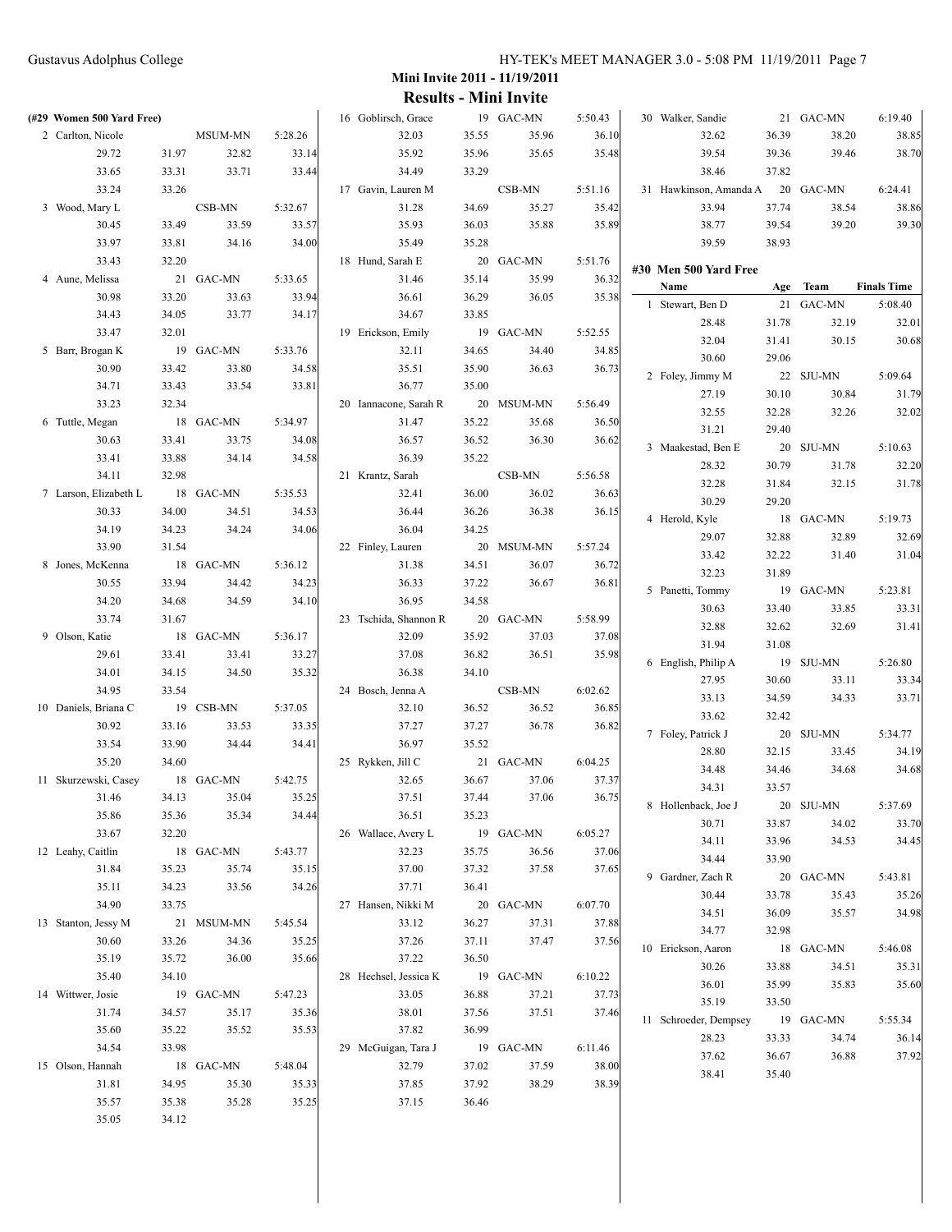| (#29 Women 500 Yard Free) |       |            |         | 16 Goblirsch, Grace   |       | 19 GAC-MN  | 5:50.43 | 30 Walker, Sandie            |       | 21 GAC-MN      | 6:19.40            |
|---------------------------|-------|------------|---------|-----------------------|-------|------------|---------|------------------------------|-------|----------------|--------------------|
| 2 Carlton, Nicole         |       | MSUM-MN    | 5:28.26 | 32.03                 | 35.55 | 35.96      | 36.10   | 32.62                        | 36.39 | 38.20          | 38.85              |
| 29.72                     | 31.97 | 32.82      | 33.14   | 35.92                 | 35.96 | 35.65      | 35.48   | 39.54                        | 39.36 | 39.46          | 38.70              |
| 33.65                     | 33.31 | 33.71      | 33.44   | 34.49                 | 33.29 |            |         | 38.46                        | 37.82 |                |                    |
| 33.24                     | 33.26 |            |         | 17 Gavin, Lauren M    |       | CSB-MN     | 5:51.16 | 31 Hawkinson, Amanda A       |       | 20 GAC-MN      | 6:24.41            |
| 3 Wood, Mary L            |       | CSB-MN     | 5:32.67 | 31.28                 | 34.69 | 35.27      | 35.42   | 33.94                        | 37.74 | 38.54          | 38.86              |
| 30.45                     | 33.49 | 33.59      | 33.57   | 35.93                 | 36.03 | 35.88      | 35.89   | 38.77                        | 39.54 | 39.20          | 39.30              |
| 33.97                     | 33.81 | 34.16      | 34.00   | 35.49                 | 35.28 |            |         | 39.59                        | 38.93 |                |                    |
| 33.43                     | 32.20 |            |         | 18 Hund, Sarah E      |       | 20 GAC-MN  | 5:51.76 |                              |       |                |                    |
| 4 Aune, Melissa           |       | 21 GAC-MN  | 5:33.65 | 31.46                 | 35.14 | 35.99      | 36.32   | #30 Men 500 Yard Free        |       |                |                    |
| 30.98                     | 33.20 | 33.63      | 33.94   | 36.61                 | 36.29 | 36.05      | 35.38   | Name                         | Age   | Team           | <b>Finals Time</b> |
| 34.43                     | 34.05 | 33.77      | 34.17   | 34.67                 | 33.85 |            |         | 1 Stewart, Ben D             |       | 21 GAC-MN      | 5:08.40            |
| 33.47                     | 32.01 |            |         | 19 Erickson, Emily    |       | 19 GAC-MN  | 5:52.55 | 28.48                        | 31.78 | 32.19          | 32.01              |
| 5 Barr, Brogan K          |       | 19 GAC-MN  | 5:33.76 | 32.11                 | 34.65 | 34.40      | 34.85   | 32.04                        | 31.41 | 30.15          | 30.68              |
| 30.90                     | 33.42 | 33.80      | 34.58   | 35.51                 | 35.90 | 36.63      | 36.73   | 30.60                        | 29.06 |                |                    |
| 34.71                     | 33.43 | 33.54      | 33.81   | 36.77                 | 35.00 |            |         | 2 Foley, Jimmy M             |       | 22 SJU-MN      | 5:09.64            |
| 33.23                     | 32.34 |            |         | 20 Iannacone, Sarah R |       | 20 MSUM-MN | 5:56.49 | 27.19                        | 30.10 | 30.84          | 31.79              |
| 6 Tuttle, Megan           |       | 18 GAC-MN  | 5:34.97 | 31.47                 | 35.22 | 35.68      | 36.50   | 32.55                        | 32.28 | 32.26          | 32.02              |
| 30.63                     | 33.41 | 33.75      | 34.08   | 36.57                 | 36.52 | 36.30      | 36.62   | 31.21                        | 29.40 |                |                    |
| 33.41                     | 33.88 | 34.14      | 34.58   | 36.39                 | 35.22 |            |         | 3 Maakestad, Ben E           |       | 20 SJU-MN      | 5:10.63            |
| 34.11                     | 32.98 |            |         | 21 Krantz, Sarah      |       | CSB-MN     | 5:56.58 | 28.32                        | 30.79 | 31.78          | 32.20              |
| 7 Larson, Elizabeth L     |       | 18 GAC-MN  | 5:35.53 | 32.41                 | 36.00 | 36.02      | 36.63   | 32.28                        | 31.84 | 32.15          | 31.78              |
| 30.33                     | 34.00 | 34.51      | 34.53   | 36.44                 | 36.26 | 36.38      | 36.15   | 30.29                        | 29.20 |                |                    |
| 34.19                     | 34.23 | 34.24      | 34.06   | 36.04                 | 34.25 |            |         | 4 Herold, Kyle               |       | 18 GAC-MN      | 5:19.73            |
| 33.90                     | 31.54 |            |         | 22 Finley, Lauren     |       | 20 MSUM-MN | 5:57.24 | 29.07                        | 32.88 | 32.89          | 32.69              |
| 8 Jones, McKenna          |       | 18 GAC-MN  | 5:36.12 | 31.38                 | 34.51 | 36.07      | 36.72   | 33.42                        | 32.22 | 31.40          | 31.04              |
| 30.55                     | 33.94 | 34.42      | 34.23   | 36.33                 | 37.22 | 36.67      | 36.81   | 32.23                        | 31.89 |                |                    |
| 34.20                     | 34.68 | 34.59      | 34.10   | 36.95                 | 34.58 |            |         | 5 Panetti, Tommy             |       | 19 GAC-MN      | 5:23.81            |
| 33.74                     | 31.67 |            |         | 23 Tschida, Shannon R |       | 20 GAC-MN  | 5:58.99 | 30.63                        | 33.40 | 33.85          | 33.31              |
| 9 Olson, Katie            |       | 18 GAC-MN  | 5:36.17 | 32.09                 | 35.92 | 37.03      | 37.08   | 32.88                        | 32.62 | 32.69          | 31.41              |
| 29.61                     | 33.41 | 33.41      | 33.27   | 37.08                 | 36.82 | 36.51      | 35.98   | 31.94                        | 31.08 |                |                    |
| 34.01                     | 34.15 | 34.50      | 35.32   | 36.38                 | 34.10 |            |         | 6 English, Philip A          |       | 19 SJU-MN      | 5:26.80            |
| 34.95                     | 33.54 |            |         | 24 Bosch, Jenna A     |       | CSB-MN     | 6:02.62 | 27.95                        | 30.60 | 33.11          | 33.34              |
| 10 Daniels, Briana C      |       | 19 CSB-MN  | 5:37.05 | 32.10                 | 36.52 | 36.52      | 36.85   | 33.13                        | 34.59 | 34.33          | 33.71              |
| 30.92                     | 33.16 | 33.53      | 33.35   | 37.27                 | 37.27 | 36.78      | 36.82   | 33.62                        | 32.42 |                |                    |
| 33.54                     | 33.90 | 34.44      | 34.41   | 36.97                 | 35.52 |            |         | 7 Foley, Patrick J           |       | 20 SJU-MN      | 5:34.77<br>34.19   |
| 35.20                     | 34.60 |            |         | 25 Rykken, Jill C     |       | 21 GAC-MN  | 6:04.25 | 28.80<br>34.48               | 32.15 | 33.45<br>34.68 | 34.68              |
| 11 Skurzewski, Casey      |       | 18 GAC-MN  | 5:42.75 | 32.65                 | 36.67 | 37.06      | 37.37   |                              | 34.46 |                |                    |
| 31.46                     | 34.13 | 35.04      | 35.25   | 37.51                 | 37.44 | 37.06      | 36.75   | 34.31<br>8 Hollenback, Joe J | 33.57 | 20 SJU-MN      | 5:37.69            |
| 35.86                     | 35.36 | 35.34      | 34.44   | 36.51                 | 35.23 |            |         | 30.71                        | 33.87 | 34.02          | 33.70              |
| 33.67                     | 32.20 |            |         | 26 Wallace, Avery L   |       | 19 GAC-MN  | 6:05.27 | 34.11                        | 33.96 | 34.53          | 34.45              |
| 12 Leahy, Caitlin         |       | 18 GAC-MN  | 5:43.77 | 32.23                 | 35.75 | 36.56      | 37.06   | 34.44                        | 33.90 |                |                    |
| 31.84                     | 35.23 | 35.74      | 35.15   | 37.00                 | 37.32 | 37.58      | 37.65   | 9 Gardner, Zach R            |       | 20 GAC-MN      | 5:43.81            |
| 35.11                     | 34.23 | 33.56      | 34.26   | 37.71                 | 36.41 |            |         | 30.44                        | 33.78 | 35.43          | 35.26              |
| 34.90                     | 33.75 |            |         | 27 Hansen, Nikki M    |       | 20 GAC-MN  | 6:07.70 | 34.51                        | 36.09 | 35.57          | 34.98              |
| 13 Stanton, Jessy M       |       | 21 MSUM-MN | 5:45.54 | 33.12                 | 36.27 | 37.31      | 37.88   | 34.77                        | 32.98 |                |                    |
| 30.60                     | 33.26 | 34.36      | 35.25   | 37.26                 | 37.11 | 37.47      | 37.56   | 10 Erickson, Aaron           |       | 18 GAC-MN      | 5:46.08            |
| 35.19                     | 35.72 | 36.00      | 35.66   | 37.22                 | 36.50 |            |         | 30.26                        | 33.88 | 34.51          | 35.31              |
| 35.40                     | 34.10 |            |         | 28 Hechsel, Jessica K |       | 19 GAC-MN  | 6:10.22 | 36.01                        | 35.99 | 35.83          | 35.60              |
| 14 Wittwer, Josie         |       | 19 GAC-MN  | 5:47.23 | 33.05                 | 36.88 | 37.21      | 37.73   | 35.19                        | 33.50 |                |                    |
| 31.74                     | 34.57 | 35.17      | 35.36   | 38.01                 | 37.56 | 37.51      | 37.46   | 11 Schroeder, Dempsey        |       | 19 GAC-MN      | 5:55.34            |
| 35.60                     | 35.22 | 35.52      | 35.53   | 37.82                 | 36.99 |            |         | 28.23                        | 33.33 | 34.74          | 36.14              |
| 34.54                     | 33.98 |            |         | 29 McGuigan, Tara J   |       | 19 GAC-MN  | 6:11.46 | 37.62                        | 36.67 | 36.88          | 37.92              |
| 15 Olson, Hannah          |       | 18 GAC-MN  | 5:48.04 | 32.79                 | 37.02 | 37.59      | 38.00   | 38.41                        | 35.40 |                |                    |
| 31.81                     | 34.95 | 35.30      | 35.33   | 37.85                 | 37.92 | 38.29      | 38.39   |                              |       |                |                    |
| 35.57                     | 35.38 | 35.28      | 35.25   | 37.15                 | 36.46 |            |         |                              |       |                |                    |
| 35.05                     | 34.12 |            |         |                       |       |            |         |                              |       |                |                    |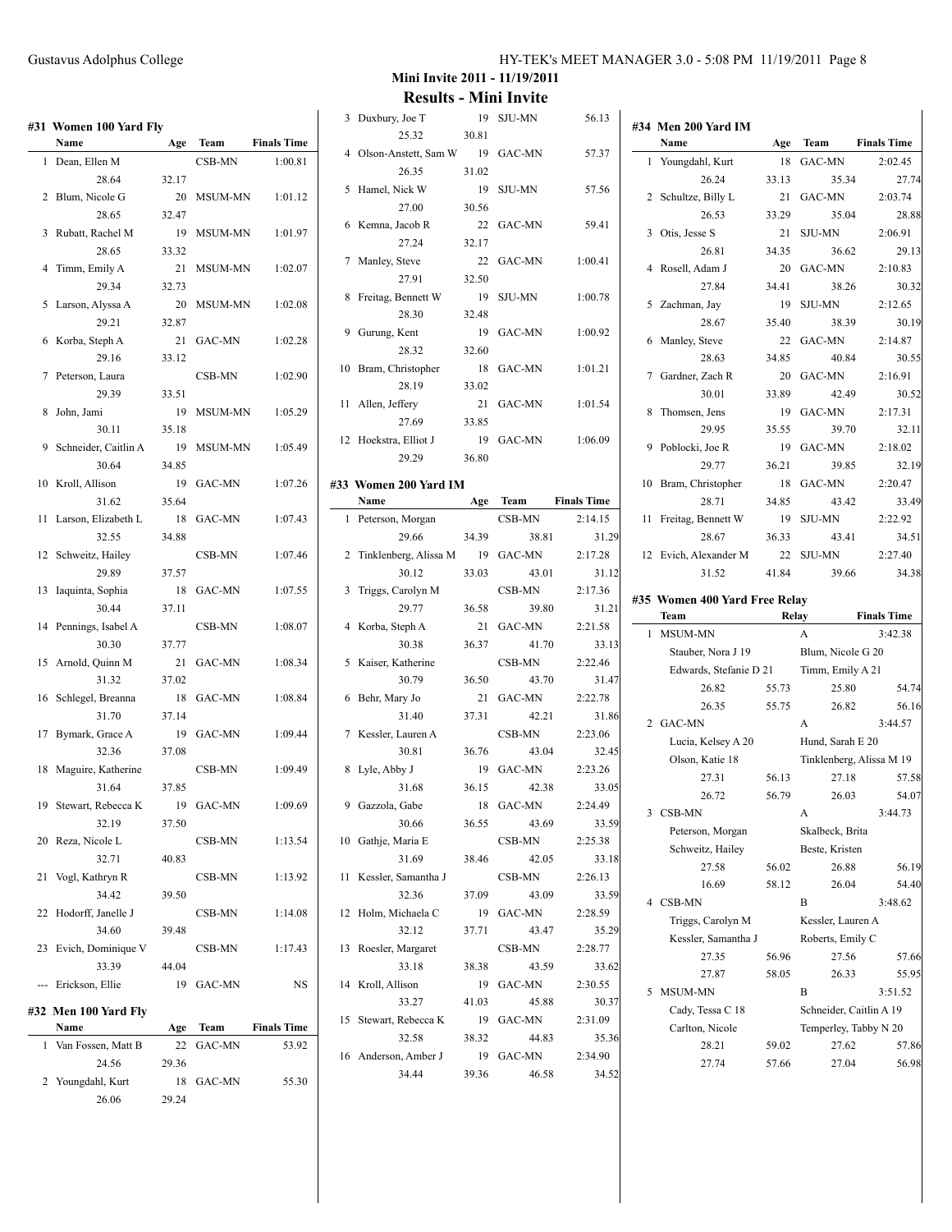| #31 | Women 100 Yard Fly<br>Name |       |                |                    |
|-----|----------------------------|-------|----------------|--------------------|
|     |                            | Age   | Team           | <b>Finals Time</b> |
| 1   | Dean, Ellen M<br>28.64     | 32.17 | CSB-MN         | 1:00.81            |
| 2   | Blum, Nicole G             | 20    | <b>MSUM-MN</b> | 1:01.12            |
|     | 28.65                      | 32.47 |                |                    |
| 3   | Rubatt, Rachel M           | 19    | MSUM-MN        | 1:01.97            |
|     | 28.65                      | 33.32 |                |                    |
| 4   | Timm, Emily A              | 21    | <b>MSUM-MN</b> | 1:02.07            |
|     | 29.34                      | 32.73 |                |                    |
| 5   | Larson, Alyssa A           | 20    | MSUM-MN        | 1:02.08            |
|     | 29.21                      | 32.87 |                |                    |
| 6   | Korba, Steph A             | 21    | GAC-MN         | 1:02.28            |
|     | 29.16                      | 33.12 |                |                    |
| 7   | Peterson, Laura            |       | CSB-MN         | 1:02.90            |
|     | 29.39                      | 33.51 |                |                    |
| 8   | John, Jami                 | 19    | MSUM-MN        | 1:05.29            |
|     | 30.11                      | 35.18 |                |                    |
| 9   | Schneider, Caitlin A       | 19    | MSUM-MN        | 1:05.49            |
|     | 30.64                      | 34.85 |                |                    |
| 10  | Kroll, Allison             | 19    | GAC-MN         | 1:07.26            |
|     | 31.62                      | 35.64 |                |                    |
| 11  | Larson, Elizabeth L        | 18    | GAC-MN         | 1:07.43            |
|     | 32.55                      | 34.88 |                |                    |
| 12  | Schweitz, Hailey           |       | CSB-MN         | 1:07.46            |
|     | 29.89                      | 37.57 |                |                    |
| 13  | Iaquinta, Sophia           | 18    | GAC-MN         | 1:07.55            |
|     | 30.44                      | 37.11 |                |                    |
| 14  | Pennings, Isabel A         |       | CSB-MN         | 1:08.07            |
|     | 30.30                      | 37.77 |                |                    |
| 15  | Arnold, Quinn M            | 21    | GAC-MN         | 1:08.34            |
|     | 31.32                      | 37.02 |                |                    |
| 16  | Schlegel, Breanna          | 18    | GAC-MN         | 1:08.84            |
|     | 31.70                      | 37.14 |                |                    |
| 17  | Bymark, Grace A            | 19    | GAC-MN         | 1:09.44            |
|     | 32.36                      | 37.08 |                |                    |
| 18  | Maguire, Katherine         |       | CSB-MN         | 1:09.49            |
|     | 31.64                      | 37.85 |                |                    |
| 19  | Stewart, Rebecca K         | 19    | GAC-MN         | 1:09.69            |
|     | 32.19                      | 37.50 |                |                    |
|     | 20 Reza, Nicole L          |       | CSB-MN         | 1:13.54            |
|     | 32.71                      | 40.83 |                |                    |
| 21  | Vogl, Kathryn R            |       | CSB-MN         | 1:13.92            |
|     | 34.42                      | 39.50 |                |                    |
| 22  | Hodorff, Janelle J         |       | CSB-MN         | 1:14.08            |
|     | 34.60                      | 39.48 |                |                    |
| 23  | Evich, Dominique V         |       | CSB-MN         | 1:17.43            |
|     | 33.39                      | 44.04 |                |                    |
| --- | Erickson, Ellie            | 19    | GAC-MN         | NS                 |
|     | #32 Men 100 Yard Fly       |       |                |                    |
|     | Name                       | Age   | Team           | <b>Finals Time</b> |
| 1   | Van Fossen, Matt B         | 22    | <b>GAC-MN</b>  | 53.92              |
|     | 24.56                      | 29.36 |                |                    |
| 2   | Youngdahl, Kurt            | 18    | GAC-MN         | 55.30              |
|     | 26.06                      | 29.24 |                |                    |

**#34 Men 200 Yard IM**

**Mini Invite 2011 - 11/19/2011 Results - Mini Invite**

|                | INESUILS - IVIIIII IIIVILE |             |               |                    |
|----------------|----------------------------|-------------|---------------|--------------------|
| 3              | Duxbury, Joe T             | 19          | <b>SJU-MN</b> | 56.13              |
|                | 25.32                      | 30.81       |               |                    |
| 4              | Olson-Anstett, Sam W       | 19          | GAC-MN        | 57.37              |
| 5              | 26.35<br>Hamel, Nick W     | 31.02<br>19 | <b>SJU-MN</b> | 57.56              |
|                | 27.00                      | 30.56       |               |                    |
| 6              | Kemna, Jacob R             | 22          | <b>GAC-MN</b> | 59.41              |
|                | 27.24                      | 32.17       |               |                    |
| 7              | Manley, Steve              | 22          | GAC-MN        | 1:00.41            |
|                | 27.91                      | 32.50       |               |                    |
| 8              | Freitag, Bennett W         | 19          | <b>SJU-MN</b> | 1:00.78            |
|                | 28.30                      | 32.48       |               |                    |
| 9              | Gurung, Kent               | 19          | <b>GAC-MN</b> | 1:00.92            |
|                | 28.32                      | 32.60       |               |                    |
| 10             | Bram, Christopher          | 18          | <b>GAC-MN</b> | 1:01.21            |
|                | 28.19                      | 33.02       |               |                    |
| 11             | Allen, Jeffery             | 21          | GAC-MN        | 1:01.54            |
|                | 27.69                      | 33.85       |               |                    |
| 12             | Hoekstra, Elliot J         | 19          | GAC-MN        | 1:06.09            |
|                | 29.29                      | 36.80       |               |                    |
| 33             | Women 200 Yard IM          |             |               |                    |
|                | Name                       | Age         | Team          | <b>Finals Time</b> |
| 1              | Peterson, Morgan           |             | CSB-MN        | 2:14.15            |
|                | 29.66                      | 34.39       | 38.81         | 31.29              |
| 2              | Tinklenberg, Alissa M      | 19          | GAC-MN        | 2:17.28            |
|                | 30.12                      | 33.03       | 43.01         | 31.12              |
| 3              | Triggs, Carolyn M          |             | CSB-MN        | 2:17.36            |
|                | 29.77                      | 36.58       | 39.80         | 31.21              |
| $\overline{4}$ | Korba, Steph A             | 21          | GAC-MN        | 2:21.58            |
|                | 30.38                      | 36.37       | 41.70         | 33.13              |
| 5              | Kaiser, Katherine          |             | CSB-MN        | 2:22.46            |
|                | 30.79                      | 36.50       | 43.70         | 31.47              |
| 6              | Behr, Mary Jo              | 21          | <b>GAC-MN</b> | 2:22.78            |
|                | 31.40                      | 37.31       | 42.21         | 31.86              |
| 7              | Kessler, Lauren A          |             | CSB-MN        | 2:23.06            |
|                | 30.81                      | 36.76       | 43.04         | 32.45              |
| 8              | Lyle, Abby J               | 19          | GAC-MN        | 2:23.26            |
|                | 31.68                      | 36.15       | 42.38         | 33.05              |
| 9              | Gazzola, Gabe              | 18          | GAC-MN        | 2:24.49            |
|                | 30.66                      | 36.55       | 43.69         | 33.59              |
| 10             | Gathje, Maria E            |             | CSB-MN        | 2:25.38            |
|                | 31.69                      | 38.46       | 42.05         | 33.18              |
| 11             | Kessler, Samantha J        |             | CSB-MN        | 2:26.13            |
|                | 32.36                      | 37.09       | 43.09         | 33.59              |
| 12             | Holm, Michaela C           | 19          | GAC-MN        | 2:28.59            |
|                | 32.12                      | 37.71       | 43.47         | 35.29              |
| 13             | Roesler, Margaret          |             | CSB-MN        | 2:28.77            |
|                | 33.18                      | 38.38       | 43.59         | 33.62              |

14 Kroll, Allison 19 GAC-MN 2:30.55

15 Stewart, Rebecca K 19 GAC-MN 2:31.09

16 Anderson, Amber J 19 GAC-MN 2:34.90

33.27 41.03 45.88 30.37

32.58 38.32 44.83 35.36

34.44 39.36 46.58 34.52

**#33 Women 200 Yard IM**

|    | Name                          | Age   | Team                    | <b>Finals Time</b>       |
|----|-------------------------------|-------|-------------------------|--------------------------|
| 1  | Youngdahl, Kurt               | 18    | GAC-MN                  | 2:02.45                  |
|    | 26.24                         | 33.13 | 35.34                   | 27.74                    |
| 2  | Schultze, Billy L             | 21    | GAC-MN                  | 2:03.74                  |
|    | 26.53                         | 33.29 | 35.04                   | 28.88                    |
| 3  | Otis, Jesse S                 | 21    | <b>SJU-MN</b>           | 2:06.91                  |
|    | 26.81                         | 34.35 | 36.62                   | 29.13                    |
| 4  | Rosell, Adam J                | 20    | <b>GAC-MN</b>           | 2:10.83                  |
|    | 27.84                         | 34.41 | 38.26                   | 30.32                    |
|    | 5 Zachman, Jay                | 19    | <b>SJU-MN</b>           | 2:12.65                  |
|    | 28.67                         | 35.40 | 38.39                   | 30.19                    |
| 6  | Manley, Steve                 | 22    | GAC-MN                  | 2:14.87                  |
|    | 28.63                         | 34.85 | 40.84                   | 30.55                    |
| 7  | Gardner, Zach R               | 20    | <b>GAC-MN</b>           | 2:16.91                  |
|    | 30.01                         | 33.89 | 42.49                   | 30.52                    |
| 8  | Thomsen, Jens                 | 19    | <b>GAC-MN</b>           | 2:17.31                  |
|    | 29.95                         | 35.55 | 39.70                   | 32.11                    |
| 9  | Poblocki, Joe R               | 19    | <b>GAC-MN</b>           | 2:18.02                  |
|    | 29.77                         | 36.21 | 39.85                   | 32.19                    |
| 10 | Bram, Christopher             | 18    | <b>GAC-MN</b>           | 2:20.47                  |
|    | 28.71                         | 34.85 | 43.42                   | 33.49                    |
| 11 | Freitag, Bennett W            | 19    | <b>SJU-MN</b>           | 2:22.92                  |
|    | 28.67                         | 36.33 | 43.41                   | 34.51                    |
|    | 12 Evich, Alexander M         | 22    | <b>SJU-MN</b>           | 2:27.40                  |
|    | 31.52                         | 41.84 | 39.66                   | 34.38                    |
|    | #35 Women 400 Yard Free Relay |       |                         |                          |
|    | Team                          |       | Relay                   | <b>Finals Time</b>       |
| 1  | <b>MSUM-MN</b>                |       | A                       | 3:42.38                  |
|    |                               |       |                         |                          |
|    | Stauber, Nora J 19            |       | Blum, Nicole G 20       |                          |
|    | Edwards, Stefanie D 21        |       | Timm, Emily A 21        |                          |
|    | 26.82                         | 55.73 | 25.80                   | 54.74                    |
|    | 26.35                         | 55.75 | 26.82                   | 56.16                    |
|    | 2 GAC-MN                      |       | A                       | 3:44.57                  |
|    | Lucia, Kelsey A 20            |       | Hund, Sarah E 20        |                          |
|    | Olson, Katie 18               |       |                         | Tinklenberg, Alissa M 19 |
|    | 27.31                         | 56.13 | 27.18                   | 57.58                    |
|    | 26.72                         | 56.79 | 26.03                   | 54.07                    |
| 3  | CSB-MN                        |       | А                       | 3:44.73                  |
|    | Peterson, Morgan              |       | Skalbeck, Brita         |                          |
|    | Schweitz, Hailey              |       | Beste, Kristen          |                          |
|    | 27.58                         | 56.02 | 26.88                   | 56.19                    |
|    | 16.69                         | 58.12 | 26.04                   | 54.40                    |
| 4  | CSB-MN                        |       | B                       | 3:48.62                  |
|    | Triggs, Carolyn M             |       | Kessler, Lauren A       |                          |
|    | Kessler, Samantha J           |       | Roberts, Emily C        |                          |
|    | 27.35                         | 56.96 | 27.56                   | 57.66                    |
|    | 27.87                         | 58.05 | 26.33                   | 55.95                    |
| 5  | MSUM-MN                       |       | B                       | 3:51.52                  |
|    | Cady, Tessa C 18              |       | Schneider, Caitlin A 19 |                          |
|    | Carlton, Nicole               |       | Temperley, Tabby N 20   |                          |
|    | 28.21                         | 59.02 | 27.62                   | 57.86                    |
|    | 27.74                         | 57.66 | 27.04                   | 56.98                    |